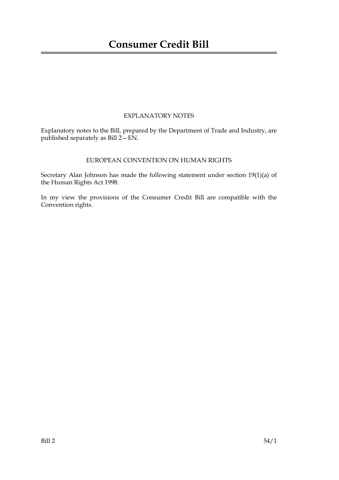# EXPLANATORY NOTES

Explanatory notes to the Bill, prepared by the Department of Trade and Industry, are published separately as Bill 2—EN.

# EUROPEAN CONVENTION ON HUMAN RIGHTS

Secretary Alan Johnson has made the following statement under section 19(1)(a) of the Human Rights Act 1998:

In my view the provisions of the Consumer Credit Bill are compatible with the Convention rights.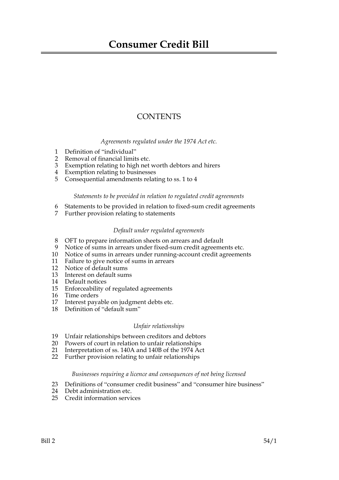# **Consumer Credit Bill**

# **CONTENTS**

*Agreements regulated under the 1974 Act etc.*

- 1 Definition of "individual"
- 2 Removal of financial limits etc.
- 3 Exemption relating to high net worth debtors and hirers
- 4 Exemption relating to businesses
- 5 Consequential amendments relating to ss. 1 to 4

### *Statements to be provided in relation to regulated credit agreements*

- 6 Statements to be provided in relation to fixed-sum credit agreements
- Further provision relating to statements

# *Default under regulated agreements*

- 8 OFT to prepare information sheets on arrears and default
- 9 Notice of sums in arrears under fixed-sum credit agreements etc.
- 10 Notice of sums in arrears under running-account credit agreements
- 11 Failure to give notice of sums in arrears
- 12 Notice of default sums
- 13 Interest on default sums
- 14 Default notices
- 15 Enforceability of regulated agreements
- 16 Time orders
- 17 Interest payable on judgment debts etc.
- 18 Definition of "default sum"

# *Unfair relationships*

- 19 Unfair relationships between creditors and debtors
- 20 Powers of court in relation to unfair relationships
- 21 Interpretation of ss. 140A and 140B of the 1974 Act
- 22 Further provision relating to unfair relationships

#### *Businesses requiring a licence and consequences of not being licensed*

- 23 Definitions of "consumer credit business" and "consumer hire business"
- 24 Debt administration etc.
- 25 Credit information services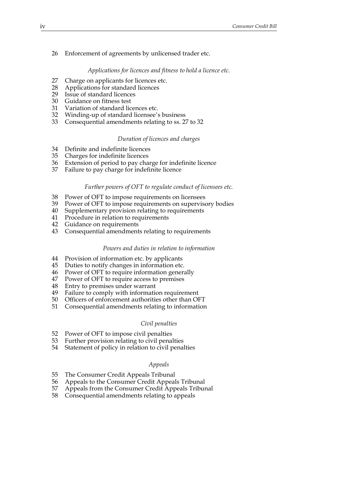#### 26 Enforcement of agreements by unlicensed trader etc.

#### *Applications for licences and fitness to hold a licence etc.*

- 27 Charge on applicants for licences etc.
- 28 Applications for standard licences
- 29 Issue of standard licences
- 30 Guidance on fitness test
- 31 Variation of standard licences etc.
- 32 Winding-up of standard licensee's business
- 33 Consequential amendments relating to ss. 27 to 32

#### *Duration of licences and charges*

- 34 Definite and indefinite licences
- 35 Charges for indefinite licences
- 36 Extension of period to pay charge for indefinite licence
- Failure to pay charge for indefinite licence

#### *Further powers of OFT to regulate conduct of licensees etc.*

- 38 Power of OFT to impose requirements on licensees
- 39 Power of OFT to impose requirements on supervisory bodies
- 40 Supplementary provision relating to requirements
- 41 Procedure in relation to requirements
- 42 Guidance on requirements
- 43 Consequential amendments relating to requirements

#### *Powers and duties in relation to information*

- 44 Provision of information etc. by applicants
- 
- 45 Duties to notify changes in information etc.<br>46 Power of OFT to require information generation 46 Power of OFT to require information generally<br>47 Power of OFT to require access to premises
- Power of OFT to require access to premises
- 48 Entry to premises under warrant
- 49 Failure to comply with information requirement
- 50 Officers of enforcement authorities other than OFT
- 51 Consequential amendments relating to information

#### *Civil penalties*

- 52 Power of OFT to impose civil penalties
- 53 Further provision relating to civil penalties
- 54 Statement of policy in relation to civil penalties

#### *Appeals*

- 55 The Consumer Credit Appeals Tribunal
- 56 Appeals to the Consumer Credit Appeals Tribunal
- 57 Appeals from the Consumer Credit Appeals Tribunal
- 58 Consequential amendments relating to appeals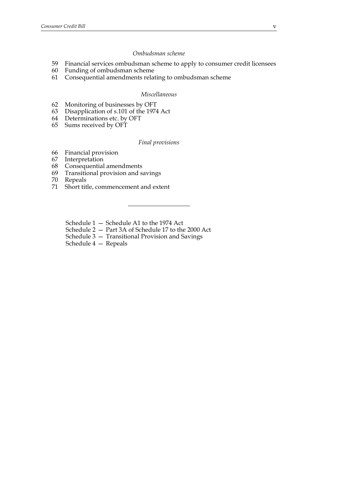# *Ombudsman scheme*

- 59 Financial services ombudsman scheme to apply to consumer credit licensees
- 60 Funding of ombudsman scheme
- 61 Consequential amendments relating to ombudsman scheme

### *Miscellaneous*

- 62 Monitoring of businesses by OFT
- 63 Disapplication of s.101 of the 1974 Act
- 64 Determinations etc. by OFT
- 65 Sums received by OFT

#### *Final provisions*

- 66 Financial provision
- 67 Interpretation
- 68 Consequential amendments
- 69 Transitional provision and savings
- **Repeals**
- 71 Short title, commencement and extent
	- Schedule 1 Schedule A1 to the 1974 Act
	- Schedule 2 Part 3A of Schedule 17 to the 2000 Act
	- Schedule 3 Transitional Provision and Savings
	- Schedule 4 Repeals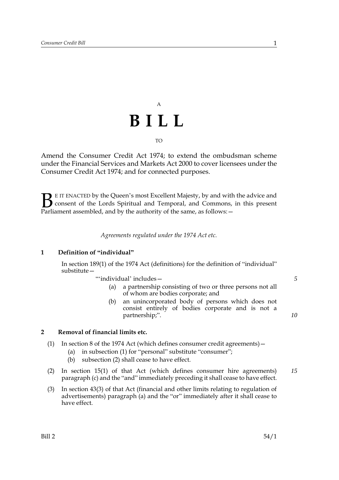# A **BILL** TO

Amend the Consumer Credit Act 1974; to extend the ombudsman scheme under the Financial Services and Markets Act 2000 to cover licensees under the Consumer Credit Act 1974; and for connected purposes.

E IT ENACTED by the Queen's most Excellent Majesty, by and with the advice and consent of the Lords Spiritual and Temporal, and Commons, in this present **B** E IT ENACTED by the Queen's most Excellent Majesty, by and with consent of the Lords Spiritual and Temporal, and Commons, Parliament assembled, and by the authority of the same, as follows:  $-$ 

*Agreements regulated under the 1974 Act etc.*

# **1 Definition of "individual"**

In section 189(1) of the 1974 Act (definitions) for the definition of "individual" substitute—

"'individual' includes—

- (a) a partnership consisting of two or three persons not all of whom are bodies corporate; and
- (b) an unincorporated body of persons which does not consist entirely of bodies corporate and is not a partnership;".

*10*

*5*

# **2 Removal of financial limits etc.**

- (1) In section 8 of the 1974 Act (which defines consumer credit agreements)—
	- (a) in subsection (1) for "personal" substitute "consumer";
	- (b) subsection (2) shall cease to have effect.
- (2) In section 15(1) of that Act (which defines consumer hire agreements) paragraph (c) and the "and" immediately preceding it shall cease to have effect. *15*
- (3) In section 43(3) of that Act (financial and other limits relating to regulation of advertisements) paragraph (a) and the "or" immediately after it shall cease to have effect.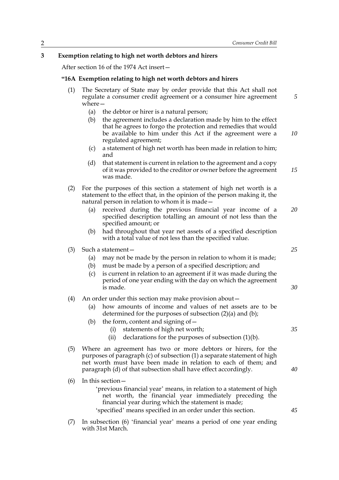# **3 Exemption relating to high net worth debtors and hirers**

After section 16 of the 1974 Act insert—

# **"16A Exemption relating to high net worth debtors and hirers**

- (1) The Secretary of State may by order provide that this Act shall not regulate a consumer credit agreement or a consumer hire agreement where—
	- (a) the debtor or hirer is a natural person;
	- (b) the agreement includes a declaration made by him to the effect that he agrees to forgo the protection and remedies that would be available to him under this Act if the agreement were a regulated agreement; *10*
	- (c) a statement of high net worth has been made in relation to him; and
	- (d) that statement is current in relation to the agreement and a copy of it was provided to the creditor or owner before the agreement was made. *15*
- (2) For the purposes of this section a statement of high net worth is a statement to the effect that, in the opinion of the person making it, the natural person in relation to whom it is made—
	- (a) received during the previous financial year income of a specified description totalling an amount of not less than the specified amount; or *20*
	- (b) had throughout that year net assets of a specified description with a total value of not less than the specified value.

# (3) Such a statement—

- (a) may not be made by the person in relation to whom it is made;
- (b) must be made by a person of a specified description; and
- (c) is current in relation to an agreement if it was made during the period of one year ending with the day on which the agreement is made.
- (4) An order under this section may make provision about—
	- (a) how amounts of income and values of net assets are to be determined for the purposes of subsection (2)(a) and (b);
	- (b) the form, content and signing of  $-$ 
		- (i) statements of high net worth;
		- (ii) declarations for the purposes of subsection  $(1)(b)$ .
- (5) Where an agreement has two or more debtors or hirers, for the purposes of paragraph (c) of subsection (1) a separate statement of high net worth must have been made in relation to each of them; and paragraph (d) of that subsection shall have effect accordingly.
- (6) In this section—
	- 'previous financial year' means, in relation to a statement of high net worth, the financial year immediately preceding the financial year during which the statement is made;

'specified' means specified in an order under this section.

(7) In subsection (6) 'financial year' means a period of one year ending with 31st March.

*25*

*5*

*30*

*35*

*40*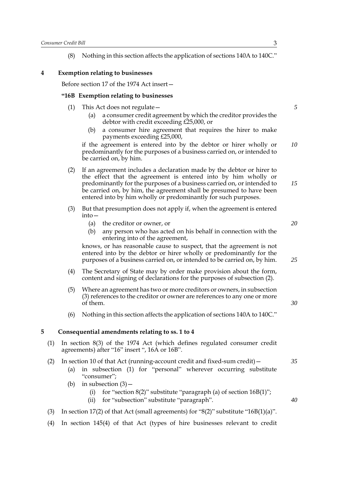(8) Nothing in this section affects the application of sections 140A to 140C."

## **4 Exemption relating to businesses**

Before section 17 of the 1974 Act insert—

# **"16B Exemption relating to businesses**

- (1) This Act does not regulate—
	- (a) a consumer credit agreement by which the creditor provides the debtor with credit exceeding £25,000, or
	- (b) a consumer hire agreement that requires the hirer to make payments exceeding £25,000,

if the agreement is entered into by the debtor or hirer wholly or predominantly for the purposes of a business carried on, or intended to be carried on, by him. *10*

- (2) If an agreement includes a declaration made by the debtor or hirer to the effect that the agreement is entered into by him wholly or predominantly for the purposes of a business carried on, or intended to be carried on, by him, the agreement shall be presumed to have been entered into by him wholly or predominantly for such purposes. *15*
- (3) But that presumption does not apply if, when the agreement is entered into—
	- (a) the creditor or owner, or
	- (b) any person who has acted on his behalf in connection with the entering into of the agreement,

knows, or has reasonable cause to suspect, that the agreement is not entered into by the debtor or hirer wholly or predominantly for the purposes of a business carried on, or intended to be carried on, by him.

- (4) The Secretary of State may by order make provision about the form, content and signing of declarations for the purposes of subsection (2).
- (5) Where an agreement has two or more creditors or owners, in subsection (3) references to the creditor or owner are references to any one or more of them.
- (6) Nothing in this section affects the application of sections 140A to 140C."

#### **5 Consequential amendments relating to ss. 1 to 4**

- (1) In section 8(3) of the 1974 Act (which defines regulated consumer credit agreements) after "16" insert ", 16A or 16B".
- (2) In section 10 of that Act (running-account credit and fixed-sum credit)—
	- (a) in subsection (1) for "personal" wherever occurring substitute "consumer";
	- (b) in subsection  $(3)$ 
		- (i) for "section 8(2)" substitute "paragraph (a) of section  $16B(1)$ ";
		- (ii) for "subsection" substitute "paragraph".
- (3) In section 17(2) of that Act (small agreements) for "8(2)" substitute "16B(1)(a)".
- (4) In section 145(4) of that Act (types of hire businesses relevant to credit

*20*

*5*

*30*

*35*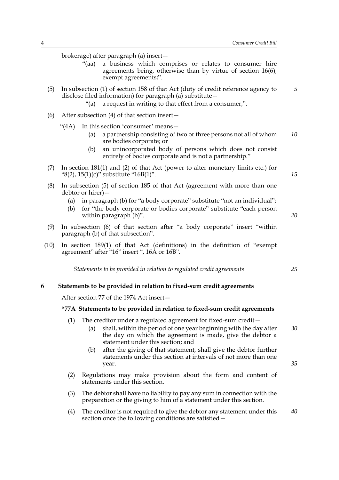brokerage) after paragraph (a) insert—

- "(aa) a business which comprises or relates to consumer hire agreements being, otherwise than by virtue of section 16(6), exempt agreements;".
- (5) In subsection (1) of section 158 of that Act (duty of credit reference agency to disclose filed information) for paragraph (a) substitute—
	- "(a) a request in writing to that effect from a consumer,".
- (6) After subsection (4) of that section insert—
	- "(4A) In this section 'consumer' means—
		- (a) a partnership consisting of two or three persons not all of whom are bodies corporate; or *10*
		- (b) an unincorporated body of persons which does not consist entirely of bodies corporate and is not a partnership."
- (7) In section 181(1) and (2) of that Act (power to alter monetary limits etc.) for "8(2), 15(1)(c)" substitute "16B(1)".
- (8) In subsection (5) of section 185 of that Act (agreement with more than one debtor or hirer $)$  –
	- (a) in paragraph (b) for "a body corporate" substitute "not an individual";
	- (b) for "the body corporate or bodies corporate" substitute "each person within paragraph (b)".
- (9) In subsection (6) of that section after "a body corporate" insert "within paragraph (b) of that subsection".
- (10) In section 189(1) of that Act (definitions) in the definition of "exempt agreement" after "16" insert ", 16A or 16B".

*Statements to be provided in relation to regulated credit agreements*

#### **6 Statements to be provided in relation to fixed-sum credit agreements**

After section 77 of the 1974 Act insert—

#### **"77A Statements to be provided in relation to fixed-sum credit agreements**

- (1) The creditor under a regulated agreement for fixed-sum credit—
	- (a) shall, within the period of one year beginning with the day after the day on which the agreement is made, give the debtor a statement under this section; and
	- (b) after the giving of that statement, shall give the debtor further statements under this section at intervals of not more than one year.
- (2) Regulations may make provision about the form and content of statements under this section.
- (3) The debtor shall have no liability to pay any sum in connection with the preparation or the giving to him of a statement under this section.
- (4) The creditor is not required to give the debtor any statement under this section once the following conditions are satisfied— *40*

*15*

*5*

*20*

*25*

*30*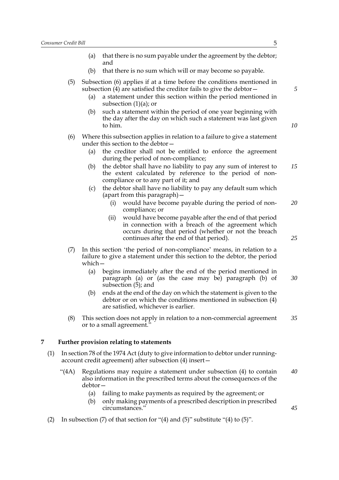- (a) that there is no sum payable under the agreement by the debtor; and
- (b) that there is no sum which will or may become so payable.
- (5) Subsection (6) applies if at a time before the conditions mentioned in subsection (4) are satisfied the creditor fails to give the debtor—
	- (a) a statement under this section within the period mentioned in subsection (1)(a); or
	- (b) such a statement within the period of one year beginning with the day after the day on which such a statement was last given to him.
- (6) Where this subsection applies in relation to a failure to give a statement under this section to the debtor—
	- (a) the creditor shall not be entitled to enforce the agreement during the period of non-compliance;
	- (b) the debtor shall have no liability to pay any sum of interest to the extent calculated by reference to the period of noncompliance or to any part of it; and *15*
	- (c) the debtor shall have no liability to pay any default sum which (apart from this paragraph)—
		- (i) would have become payable during the period of noncompliance; or *20*
		- (ii) would have become payable after the end of that period in connection with a breach of the agreement which occurs during that period (whether or not the breach continues after the end of that period).
- (7) In this section 'the period of non-compliance' means, in relation to a failure to give a statement under this section to the debtor, the period which—
	- (a) begins immediately after the end of the period mentioned in paragraph (a) or (as the case may be) paragraph (b) of subsection (5); and *30*
	- (b) ends at the end of the day on which the statement is given to the debtor or on which the conditions mentioned in subsection (4) are satisfied, whichever is earlier.
- (8) This section does not apply in relation to a non-commercial agreement or to a small agreement." *35*

#### **7 Further provision relating to statements**

- (1) In section 78 of the 1974 Act (duty to give information to debtor under runningaccount credit agreement) after subsection (4) insert—
	- "(4A) Regulations may require a statement under subsection (4) to contain also information in the prescribed terms about the consequences of the debtor— *40*
		- (a) failing to make payments as required by the agreement; or
		- (b) only making payments of a prescribed description in prescribed circumstances."
- (2) In subsection (7) of that section for "(4) and (5)" substitute "(4) to (5)".

*5*

*10*

*25*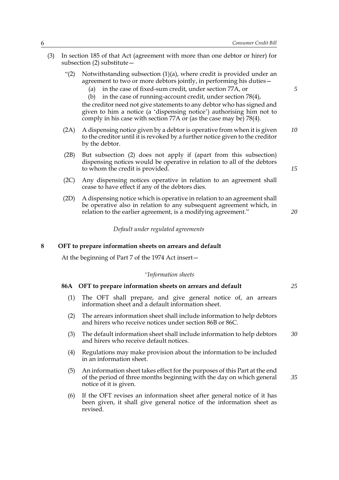- (3) In section 185 of that Act (agreement with more than one debtor or hirer) for subsection (2) substitute— "(2) Notwithstanding subsection (1)(a), where credit is provided under an agreement to two or more debtors jointly, in performing his duties in the case of fixed-sum credit, under section 77A, or (b) in the case of running-account credit, under section 78(4), the creditor need not give statements to any debtor who has signed and given to him a notice (a 'dispensing notice') authorising him not to comply in his case with section 77A or (as the case may be) 78(4). (2A) A dispensing notice given by a debtor is operative from when it is given to the creditor until it is revoked by a further notice given to the creditor by the debtor. *5 10*
	- (2B) But subsection (2) does not apply if (apart from this subsection) dispensing notices would be operative in relation to all of the debtors to whom the credit is provided.
	- (2C) Any dispensing notices operative in relation to an agreement shall cease to have effect if any of the debtors dies.
	- (2D) A dispensing notice which is operative in relation to an agreement shall be operative also in relation to any subsequent agreement which, in relation to the earlier agreement, is a modifying agreement."

*Default under regulated agreements*

#### **8 OFT to prepare information sheets on arrears and default**

At the beginning of Part 7 of the 1974 Act insert—

#### *"Information sheets*

#### **86A OFT to prepare information sheets on arrears and default**

- (1) The OFT shall prepare, and give general notice of, an arrears information sheet and a default information sheet.
- (2) The arrears information sheet shall include information to help debtors and hirers who receive notices under section 86B or 86C.
- (3) The default information sheet shall include information to help debtors and hirers who receive default notices. *30*
- (4) Regulations may make provision about the information to be included in an information sheet.
- (5) An information sheet takes effect for the purposes of this Part at the end of the period of three months beginning with the day on which general notice of it is given. *35*
- (6) If the OFT revises an information sheet after general notice of it has been given, it shall give general notice of the information sheet as revised.

*20*

*25*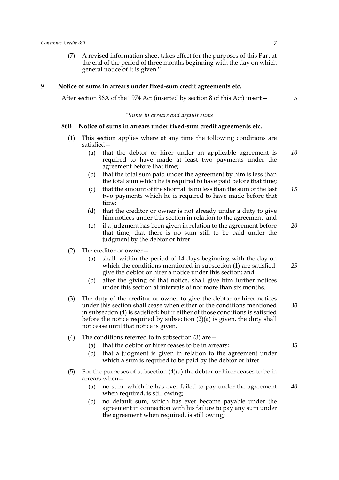(7) A revised information sheet takes effect for the purposes of this Part at the end of the period of three months beginning with the day on which general notice of it is given."

#### **9 Notice of sums in arrears under fixed-sum credit agreements etc.**

After section 86A of the 1974 Act (inserted by section 8 of this Act) insert—

#### *"Sums in arrears and default sums*

### **86B Notice of sums in arrears under fixed-sum credit agreements etc.**

- (1) This section applies where at any time the following conditions are satisfied—
	- (a) that the debtor or hirer under an applicable agreement is required to have made at least two payments under the agreement before that time; *10*
	- (b) that the total sum paid under the agreement by him is less than the total sum which he is required to have paid before that time;
	- (c) that the amount of the shortfall is no less than the sum of the last two payments which he is required to have made before that time; *15*
	- (d) that the creditor or owner is not already under a duty to give him notices under this section in relation to the agreement; and
	- (e) if a judgment has been given in relation to the agreement before that time, that there is no sum still to be paid under the judgment by the debtor or hirer. *20*
- (2) The creditor or owner—
	- (a) shall, within the period of 14 days beginning with the day on which the conditions mentioned in subsection (1) are satisfied, give the debtor or hirer a notice under this section; and *25*
	- (b) after the giving of that notice, shall give him further notices under this section at intervals of not more than six months.
- (3) The duty of the creditor or owner to give the debtor or hirer notices under this section shall cease when either of the conditions mentioned in subsection (4) is satisfied; but if either of those conditions is satisfied before the notice required by subsection (2)(a) is given, the duty shall not cease until that notice is given. *30*
- (4) The conditions referred to in subsection  $(3)$  are  $-$ 
	- (a) that the debtor or hirer ceases to be in arrears;
	- (b) that a judgment is given in relation to the agreement under which a sum is required to be paid by the debtor or hirer.
- (5) For the purposes of subsection (4)(a) the debtor or hirer ceases to be in arrears when—
	- (a) no sum, which he has ever failed to pay under the agreement when required, is still owing; *40*
	- (b) no default sum, which has ever become payable under the agreement in connection with his failure to pay any sum under the agreement when required, is still owing;

*5*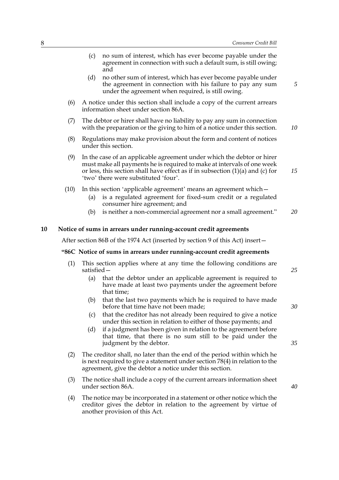- (c) no sum of interest, which has ever become payable under the agreement in connection with such a default sum, is still owing; and
- (d) no other sum of interest, which has ever become payable under the agreement in connection with his failure to pay any sum under the agreement when required, is still owing.
- (6) A notice under this section shall include a copy of the current arrears information sheet under section 86A.
- (7) The debtor or hirer shall have no liability to pay any sum in connection with the preparation or the giving to him of a notice under this section. *10*
- (8) Regulations may make provision about the form and content of notices under this section.
- (9) In the case of an applicable agreement under which the debtor or hirer must make all payments he is required to make at intervals of one week or less, this section shall have effect as if in subsection (1)(a) and (c) for 'two' there were substituted 'four'. *15*
- (10) In this section 'applicable agreement' means an agreement which—
	- (a) is a regulated agreement for fixed-sum credit or a regulated consumer hire agreement; and
	- (b) is neither a non-commercial agreement nor a small agreement." *20*

# **10 Notice of sums in arrears under running-account credit agreements**

After section 86B of the 1974 Act (inserted by section 9 of this Act) insert—

#### **"86C Notice of sums in arrears under running-account credit agreements**

- (1) This section applies where at any time the following conditions are satisfied—
	- (a) that the debtor under an applicable agreement is required to have made at least two payments under the agreement before that time;
	- (b) that the last two payments which he is required to have made before that time have not been made;
	- (c) that the creditor has not already been required to give a notice under this section in relation to either of those payments; and
	- (d) if a judgment has been given in relation to the agreement before that time, that there is no sum still to be paid under the judgment by the debtor.
- (2) The creditor shall, no later than the end of the period within which he is next required to give a statement under section 78(4) in relation to the agreement, give the debtor a notice under this section.
- (3) The notice shall include a copy of the current arrears information sheet under section 86A.
- (4) The notice may be incorporated in a statement or other notice which the creditor gives the debtor in relation to the agreement by virtue of another provision of this Act.

*30*

*25*

*5*

*40*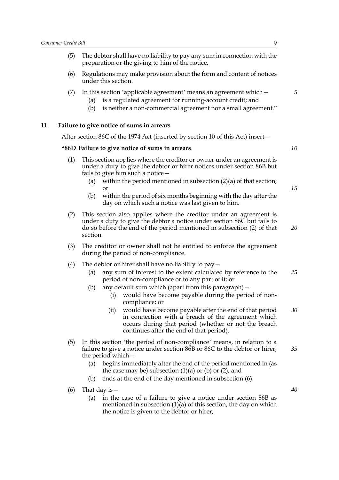- (5) The debtor shall have no liability to pay any sum in connection with the preparation or the giving to him of the notice.
- (6) Regulations may make provision about the form and content of notices under this section.
- (7) In this section 'applicable agreement' means an agreement which—
	- (a) is a regulated agreement for running-account credit; and
	- (b) is neither a non-commercial agreement nor a small agreement."

### **11 Failure to give notice of sums in arrears**

After section 86C of the 1974 Act (inserted by section 10 of this Act) insert—

#### **"86D Failure to give notice of sums in arrears**

- (1) This section applies where the creditor or owner under an agreement is under a duty to give the debtor or hirer notices under section 86B but fails to give him such a notice—
	- (a) within the period mentioned in subsection  $(2)(a)$  of that section; or
	- (b) within the period of six months beginning with the day after the day on which such a notice was last given to him.
- (2) This section also applies where the creditor under an agreement is under a duty to give the debtor a notice under section 86C but fails to do so before the end of the period mentioned in subsection (2) of that section.
- (3) The creditor or owner shall not be entitled to enforce the agreement during the period of non-compliance.
- (4) The debtor or hirer shall have no liability to pay—
	- (a) any sum of interest to the extent calculated by reference to the period of non-compliance or to any part of it; or *25*
	- (b) any default sum which (apart from this paragraph)—
		- (i) would have become payable during the period of noncompliance; or
		- (ii) would have become payable after the end of that period in connection with a breach of the agreement which occurs during that period (whether or not the breach continues after the end of that period). *30*
- (5) In this section 'the period of non-compliance' means, in relation to a failure to give a notice under section 86B or 86C to the debtor or hirer, the period which—
	- (a) begins immediately after the end of the period mentioned in (as the case may be) subsection  $(1)(a)$  or  $(b)$  or  $(2)$ ; and
	- (b) ends at the end of the day mentioned in subsection (6).
- (6) That day is  $-$ 
	- (a) in the case of a failure to give a notice under section 86B as mentioned in subsection  $(1)(a)$  of this section, the day on which the notice is given to the debtor or hirer;

*10*

*5*

*15*

*20*

*35*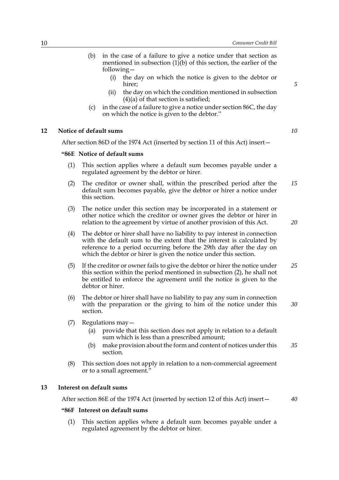- (b) in the case of a failure to give a notice under that section as mentioned in subsection  $(1)(b)$  of this section, the earlier of the following—
	- (i) the day on which the notice is given to the debtor or hirer;
	- (ii) the day on which the condition mentioned in subsection (4)(a) of that section is satisfied;
- (c) in the case of a failure to give a notice under section 86C, the day on which the notice is given to the debtor."

# **12 Notice of default sums**

After section 86D of the 1974 Act (inserted by section 11 of this Act) insert—

# **"86E Notice of default sums**

- (1) This section applies where a default sum becomes payable under a regulated agreement by the debtor or hirer.
- (2) The creditor or owner shall, within the prescribed period after the default sum becomes payable, give the debtor or hirer a notice under this section. *15*
- (3) The notice under this section may be incorporated in a statement or other notice which the creditor or owner gives the debtor or hirer in relation to the agreement by virtue of another provision of this Act.
- (4) The debtor or hirer shall have no liability to pay interest in connection with the default sum to the extent that the interest is calculated by reference to a period occurring before the 29th day after the day on which the debtor or hirer is given the notice under this section.
- (5) If the creditor or owner fails to give the debtor or hirer the notice under this section within the period mentioned in subsection (2), he shall not be entitled to enforce the agreement until the notice is given to the debtor or hirer. *25*
- (6) The debtor or hirer shall have no liability to pay any sum in connection with the preparation or the giving to him of the notice under this section. *30*
- (7) Regulations may—
	- (a) provide that this section does not apply in relation to a default sum which is less than a prescribed amount;
	- (b) make provision about the form and content of notices under this section. *35*
- (8) This section does not apply in relation to a non-commercial agreement or to a small agreement."

#### **13 Interest on default sums**

After section 86E of the 1974 Act (inserted by section 12 of this Act) insert—

# **"86F Interest on default sums**

(1) This section applies where a default sum becomes payable under a regulated agreement by the debtor or hirer.

*10*

*5*

*20*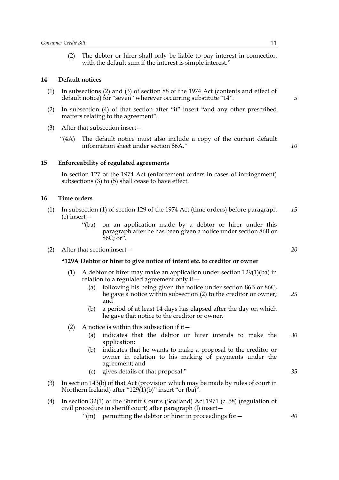(2) The debtor or hirer shall only be liable to pay interest in connection with the default sum if the interest is simple interest."

# **14 Default notices**

- (1) In subsections (2) and (3) of section 88 of the 1974 Act (contents and effect of default notice) for "seven" wherever occurring substitute "14".
- (2) In subsection (4) of that section after "it" insert "and any other prescribed matters relating to the agreement".
- (3) After that subsection insert—
	- "(4A) The default notice must also include a copy of the current default information sheet under section 86A."

*10*

*20*

*5*

# **15 Enforceability of regulated agreements**

In section 127 of the 1974 Act (enforcement orders in cases of infringement) subsections (3) to (5) shall cease to have effect.

# **16 Time orders**

- (1) In subsection (1) of section 129 of the 1974 Act (time orders) before paragraph (c) insert— *15*
	- "(ba) on an application made by a debtor or hirer under this paragraph after he has been given a notice under section 86B or 86C; or".
- (2) After that section insert—

# **"129A Debtor or hirer to give notice of intent etc. to creditor or owner**

- (1) A debtor or hirer may make an application under section 129(1)(ba) in relation to a regulated agreement only if—
	- (a) following his being given the notice under section 86B or 86C, he gave a notice within subsection (2) to the creditor or owner; and *25*
	- (b) a period of at least 14 days has elapsed after the day on which he gave that notice to the creditor or owner.
- (2) A notice is within this subsection if it  $-$ 
	- (a) indicates that the debtor or hirer intends to make the application; *30*
	- (b) indicates that he wants to make a proposal to the creditor or owner in relation to his making of payments under the agreement; and
	- (c) gives details of that proposal."
- (3) In section 143(b) of that Act (provision which may be made by rules of court in Northern Ireland) after "129 $(1)(b)$ " insert "or  $(ba)$ ".
- (4) In section 32(1) of the Sheriff Courts (Scotland) Act 1971 (c. 58) (regulation of civil procedure in sheriff court) after paragraph (l) insert—
	- " $(m)$  permitting the debtor or hirer in proceedings for  $-$

*40*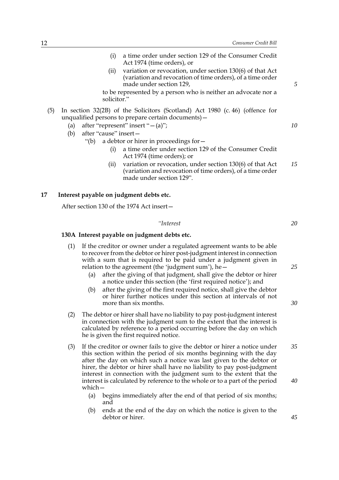- (i) a time order under section 129 of the Consumer Credit Act 1974 (time orders), or
- (ii) variation or revocation, under section 130(6) of that Act (variation and revocation of time orders), of a time order made under section 129,

to be represented by a person who is neither an advocate nor a solicitor."

- (5) In section 32(2B) of the Solicitors (Scotland) Act 1980 (c. 46) (offence for unqualified persons to prepare certain documents)—
	- (a) after "represent" insert " $-(a)$ ";
	- (b) after "cause" insert—
		- "(b) a debtor or hirer in proceedings for—
			- (i) a time order under section 129 of the Consumer Credit Act 1974 (time orders); or
			- (ii) variation or revocation, under section 130(6) of that Act (variation and revocation of time orders), of a time order made under section 129". *15*

#### **17 Interest payable on judgment debts etc.**

After section 130 of the 1974 Act insert—

$$
"Interest
$$

# **130A Interest payable on judgment debts etc.**

- (1) If the creditor or owner under a regulated agreement wants to be able to recover from the debtor or hirer post-judgment interest in connection with a sum that is required to be paid under a judgment given in relation to the agreement (the 'judgment sum'), he—
	- (a) after the giving of that judgment, shall give the debtor or hirer a notice under this section (the 'first required notice'); and
	- (b) after the giving of the first required notice, shall give the debtor or hirer further notices under this section at intervals of not more than six months.
- (2) The debtor or hirer shall have no liability to pay post-judgment interest in connection with the judgment sum to the extent that the interest is calculated by reference to a period occurring before the day on which he is given the first required notice.
- (3) If the creditor or owner fails to give the debtor or hirer a notice under this section within the period of six months beginning with the day after the day on which such a notice was last given to the debtor or hirer, the debtor or hirer shall have no liability to pay post-judgment interest in connection with the judgment sum to the extent that the interest is calculated by reference to the whole or to a part of the period which— *35 40*
	- (a) begins immediately after the end of that period of six months; and
	- (b) ends at the end of the day on which the notice is given to the debtor or hirer.

*10*

*5*

*20*

*25*

*30*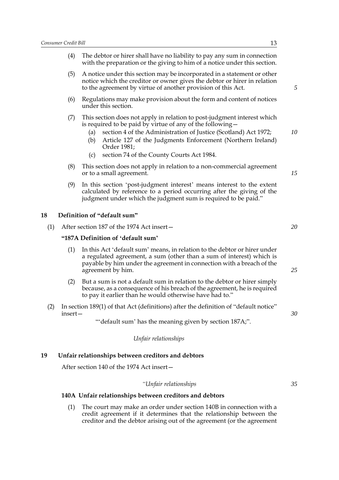- (4) The debtor or hirer shall have no liability to pay any sum in connection with the preparation or the giving to him of a notice under this section. (5) A notice under this section may be incorporated in a statement or other notice which the creditor or owner gives the debtor or hirer in relation to the agreement by virtue of another provision of this Act. (6) Regulations may make provision about the form and content of notices under this section.
- (7) This section does not apply in relation to post-judgment interest which is required to be paid by virtue of any of the following—
	- (a) section 4 of the Administration of Justice (Scotland) Act 1972; *10*
	- (b) Article 127 of the Judgments Enforcement (Northern Ireland) Order 1981;
	- (c) section 74 of the County Courts Act 1984.
- (8) This section does not apply in relation to a non-commercial agreement or to a small agreement.
- (9) In this section 'post-judgment interest' means interest to the extent calculated by reference to a period occurring after the giving of the judgment under which the judgment sum is required to be paid."

### **18 Definition of "default sum"**

(1) After section 187 of the 1974 Act insert—

#### **"187A Definition of 'default sum'**

- (1) In this Act 'default sum' means, in relation to the debtor or hirer under a regulated agreement, a sum (other than a sum of interest) which is payable by him under the agreement in connection with a breach of the agreement by him.
- (2) But a sum is not a default sum in relation to the debtor or hirer simply because, as a consequence of his breach of the agreement, he is required to pay it earlier than he would otherwise have had to."
- (2) In section 189(1) of that Act (definitions) after the definition of "default notice" insert—

"'default sum' has the meaning given by section 187A;".

#### *Unfair relationships*

#### **19 Unfair relationships between creditors and debtors**

After section 140 of the 1974 Act insert—

## *"Unfair relationships*

#### *35*

# **140A Unfair relationships between creditors and debtors**

(1) The court may make an order under section 140B in connection with a credit agreement if it determines that the relationship between the creditor and the debtor arising out of the agreement (or the agreement

*20*

*15*

*5*

*25*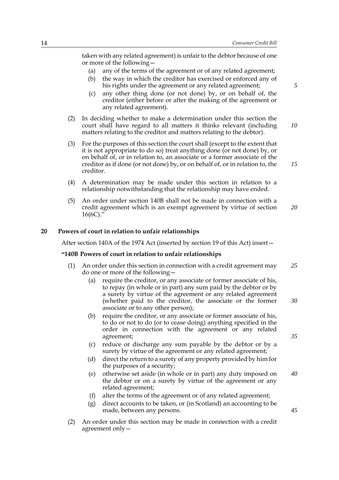taken with any related agreement) is unfair to the debtor because of one or more of the following—

- (a) any of the terms of the agreement or of any related agreement;
- (b) the way in which the creditor has exercised or enforced any of his rights under the agreement or any related agreement;
- (c) any other thing done (or not done) by, or on behalf of, the creditor (either before or after the making of the agreement or any related agreement).
- (2) In deciding whether to make a determination under this section the court shall have regard to all matters it thinks relevant (including matters relating to the creditor and matters relating to the debtor). *10*
- (3) For the purposes of this section the court shall (except to the extent that it is not appropriate to do so) treat anything done (or not done) by, or on behalf of, or in relation to, an associate or a former associate of the creditor as if done (or not done) by, or on behalf of, or in relation to, the creditor.
- (4) A determination may be made under this section in relation to a relationship notwithstanding that the relationship may have ended.
- (5) An order under section 140B shall not be made in connection with a credit agreement which is an exempt agreement by virtue of section 16(6C)." *20*

#### **20 Powers of court in relation to unfair relationships**

After section 140A of the 1974 Act (inserted by section 19 of this Act) insert—

#### **"140B Powers of court in relation to unfair relationships**

- (1) An order under this section in connection with a credit agreement may do one or more of the following— *25*
	- (a) require the creditor, or any associate or former associate of his, to repay (in whole or in part) any sum paid by the debtor or by a surety by virtue of the agreement or any related agreement (whether paid to the creditor, the associate or the former associate or to any other person);
	- (b) require the creditor, or any associate or former associate of his, to do or not to do (or to cease doing) anything specified in the order in connection with the agreement or any related agreement;
	- (c) reduce or discharge any sum payable by the debtor or by a surety by virtue of the agreement or any related agreement;
	- (d) direct the return to a surety of any property provided by him for the purposes of a security;
	- (e) otherwise set aside (in whole or in part) any duty imposed on the debtor or on a surety by virtue of the agreement or any related agreement; *40*
	- (f) alter the terms of the agreement or of any related agreement;
	- (g) direct accounts to be taken, or (in Scotland) an accounting to be made, between any persons.
- (2) An order under this section may be made in connection with a credit agreement only—

*5*

*15*

*35*

*45*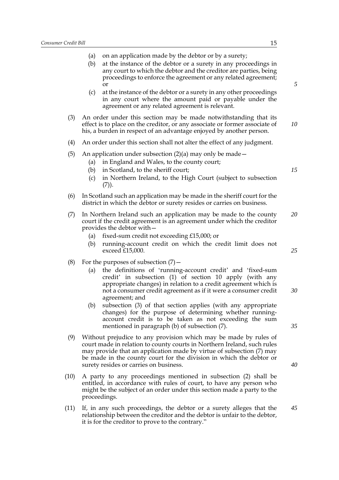- (a) on an application made by the debtor or by a surety;
- (b) at the instance of the debtor or a surety in any proceedings in any court to which the debtor and the creditor are parties, being proceedings to enforce the agreement or any related agreement; or
- (c) at the instance of the debtor or a surety in any other proceedings in any court where the amount paid or payable under the agreement or any related agreement is relevant.
- (3) An order under this section may be made notwithstanding that its effect is to place on the creditor, or any associate or former associate of his, a burden in respect of an advantage enjoyed by another person. *10*
- (4) An order under this section shall not alter the effect of any judgment.
- (5) An application under subsection  $(2)(a)$  may only be made
	- (a) in England and Wales, to the county court;
	- (b) in Scotland, to the sheriff court;
	- (c) in Northern Ireland, to the High Court (subject to subsection (7)).
- (6) In Scotland such an application may be made in the sheriff court for the district in which the debtor or surety resides or carries on business.
- (7) In Northern Ireland such an application may be made to the county court if the credit agreement is an agreement under which the creditor provides the debtor with— *20*
	- (a) fixed-sum credit not exceeding £15,000; or
	- (b) running-account credit on which the credit limit does not exceed £15,000.
- (8) For the purposes of subsection  $(7)$ 
	- (a) the definitions of 'running-account credit' and 'fixed-sum credit' in subsection (1) of section 10 apply (with any appropriate changes) in relation to a credit agreement which is not a consumer credit agreement as if it were a consumer credit agreement; and *30*
	- (b) subsection (3) of that section applies (with any appropriate changes) for the purpose of determining whether runningaccount credit is to be taken as not exceeding the sum mentioned in paragraph (b) of subsection (7).
- (9) Without prejudice to any provision which may be made by rules of court made in relation to county courts in Northern Ireland, such rules may provide that an application made by virtue of subsection (7) may be made in the county court for the division in which the debtor or surety resides or carries on business.
- (10) A party to any proceedings mentioned in subsection (2) shall be entitled, in accordance with rules of court, to have any person who might be the subject of an order under this section made a party to the proceedings.
- (11) If, in any such proceedings, the debtor or a surety alleges that the relationship between the creditor and the debtor is unfair to the debtor, it is for the creditor to prove to the contrary." *45*

*5*

*15*

*25*

*35*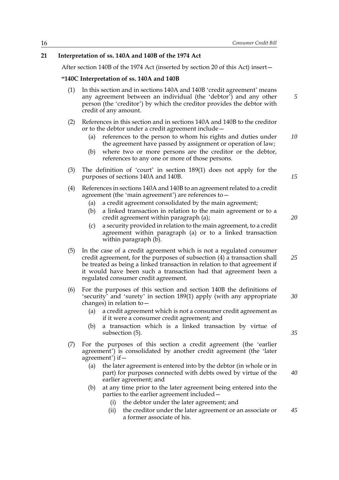#### **21 Interpretation of ss. 140A and 140B of the 1974 Act**

After section 140B of the 1974 Act (inserted by section 20 of this Act) insert—

# **"140C Interpretation of ss. 140A and 140B**

- (1) In this section and in sections 140A and 140B 'credit agreement' means any agreement between an individual (the 'debtor') and any other person (the 'creditor') by which the creditor provides the debtor with credit of any amount.
- (2) References in this section and in sections 140A and 140B to the creditor or to the debtor under a credit agreement include—
	- (a) references to the person to whom his rights and duties under the agreement have passed by assignment or operation of law; *10*
	- (b) where two or more persons are the creditor or the debtor, references to any one or more of those persons.
- (3) The definition of 'court' in section 189(1) does not apply for the purposes of sections 140A and 140B.
- (4) References in sections 140A and 140B to an agreement related to a credit agreement (the 'main agreement') are references to—
	- (a) a credit agreement consolidated by the main agreement;
	- (b) a linked transaction in relation to the main agreement or to a credit agreement within paragraph (a);
	- (c) a security provided in relation to the main agreement, to a credit agreement within paragraph (a) or to a linked transaction within paragraph (b).
- (5) In the case of a credit agreement which is not a regulated consumer credit agreement, for the purposes of subsection (4) a transaction shall be treated as being a linked transaction in relation to that agreement if it would have been such a transaction had that agreement been a regulated consumer credit agreement. *25*
- (6) For the purposes of this section and section 140B the definitions of 'security' and 'surety' in section 189(1) apply (with any appropriate changes) in relation to— *30*
	- (a) a credit agreement which is not a consumer credit agreement as if it were a consumer credit agreement; and
	- (b) a transaction which is a linked transaction by virtue of subsection (5).
- (7) For the purposes of this section a credit agreement (the 'earlier agreement') is consolidated by another credit agreement (the 'later agreement') if—
	- (a) the later agreement is entered into by the debtor (in whole or in part) for purposes connected with debts owed by virtue of the earlier agreement; and *40*
	- (b) at any time prior to the later agreement being entered into the parties to the earlier agreement included—
		- (i) the debtor under the later agreement; and
		- (ii) the creditor under the later agreement or an associate or a former associate of his. *45*

*5*

*15*

*20*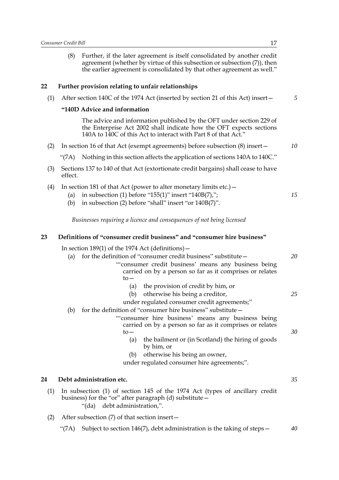(8) Further, if the later agreement is itself consolidated by another credit agreement (whether by virtue of this subsection or subsection (7)), then the earlier agreement is consolidated by that other agreement as well."

#### **22 Further provision relating to unfair relationships**

(1) After section 140C of the 1974 Act (inserted by section 21 of this Act) insert—

# **"140D Advice and information**

The advice and information published by the OFT under section 229 of the Enterprise Act 2002 shall indicate how the OFT expects sections 140A to 140C of this Act to interact with Part 8 of that Act."

(2) In section 16 of that Act (exempt agreements) before subsection (8) insert—

"(7A) Nothing in this section affects the application of sections 140A to 140C."

- (3) Sections 137 to 140 of that Act (extortionate credit bargains) shall cease to have effect.
- (4) In section 181 of that Act (power to alter monetary limits etc.)  $-$ 
	- (a) in subsection (1) before "155(1)" insert "140B(7),";
	- (b) in subsection (2) before "shall" insert "or 140B(7)".

*Businesses requiring a licence and consequences of not being licensed*

#### **23 Definitions of "consumer credit business" and "consumer hire business"**

In section 189(1) of the 1974 Act (definitions)— (a) for the definition of "consumer credit business" substitute  $-$ "'consumer credit business' means any business being carried on by a person so far as it comprises or relates to— (a) the provision of credit by him, or (b) otherwise his being a creditor, under regulated consumer credit agreements;" (b) for the definition of "consumer hire business" substitute— "'consumer hire business' means any business being carried on by a person so far as it comprises or relates to— (a) the bailment or (in Scotland) the hiring of goods by him, or *20 25 30*

(b) otherwise his being an owner,

under regulated consumer hire agreements;".

# **24 Debt administration etc.**

- (1) In subsection (1) of section 145 of the 1974 Act (types of ancillary credit business) for the "or" after paragraph (d) substitute— "(da) debt administration,".
- (2) After subsection (7) of that section insert—
	- "(7A) Subject to section 146(7), debt administration is the taking of steps  $-$ *40*

*5*

*10*

*15*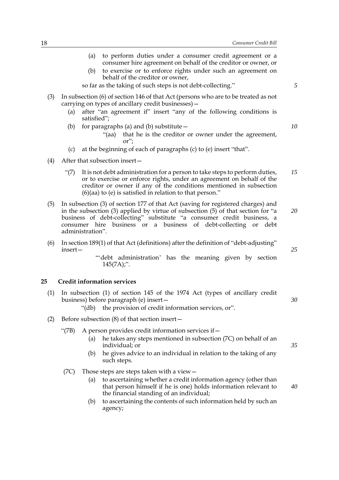- (a) to perform duties under a consumer credit agreement or a consumer hire agreement on behalf of the creditor or owner, or (b) to exercise or to enforce rights under such an agreement on behalf of the creditor or owner, so far as the taking of such steps is not debt-collecting." (3) In subsection (6) of section 146 of that Act (persons who are to be treated as not carrying on types of ancillary credit businesses)— (a) after "an agreement if" insert "any of the following conditions is satisfied"; (b) for paragraphs (a) and (b) substitute— "(aa) that he is the creditor or owner under the agreement, or"; (c) at the beginning of each of paragraphs (c) to (e) insert "that". (4) After that subsection insert— "(7) It is not debt administration for a person to take steps to perform duties, or to exercise or enforce rights, under an agreement on behalf of the creditor or owner if any of the conditions mentioned in subsection (6)(aa) to (e) is satisfied in relation to that person." (5) In subsection (3) of section 177 of that Act (saving for registered charges) and in the subsection (3) applied by virtue of subsection (5) of that section for "a business of debt-collecting" substitute "a consumer credit business, a consumer hire business or a business of debt-collecting or debt administration". (6) In section 189(1) of that Act (definitions) after the definition of "debt-adjusting" ""debt administration' has the meaning given by section  $145(7A)$ ;". **25 Credit information services** (1) In subsection (1) of section 145 of the 1974 Act (types of ancillary credit business) before paragraph (e) insert— "(db) the provision of credit information services, or". *5 10 15 20 25 30*
	- (2) Before subsection (8) of that section insert—

insert—

- "(7B) A person provides credit information services if—
	- (a) he takes any steps mentioned in subsection (7C) on behalf of an individual; or
	- (b) he gives advice to an individual in relation to the taking of any such steps.
- (7C) Those steps are steps taken with a view—
	- (a) to ascertaining whether a credit information agency (other than that person himself if he is one) holds information relevant to the financial standing of an individual;
	- (b) to ascertaining the contents of such information held by such an agency;

*40*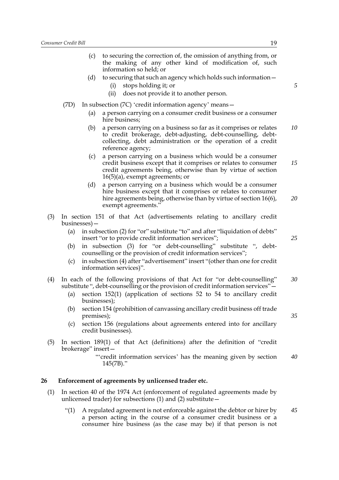(c) to securing the correction of, the omission of anything from, or the making of any other kind of modification of, such information so held; or (d) to securing that such an agency which holds such information— (i) stops holding it; or (ii) does not provide it to another person. (7D) In subsection (7C) 'credit information agency' means— (a) a person carrying on a consumer credit business or a consumer hire business; (b) a person carrying on a business so far as it comprises or relates to credit brokerage, debt-adjusting, debt-counselling, debtcollecting, debt administration or the operation of a credit reference agency; (c) a person carrying on a business which would be a consumer credit business except that it comprises or relates to consumer credit agreements being, otherwise than by virtue of section 16(5)(a), exempt agreements; or (d) a person carrying on a business which would be a consumer hire business except that it comprises or relates to consumer hire agreements being, otherwise than by virtue of section 16(6), exempt agreements." (3) In section 151 of that Act (advertisements relating to ancillary credit businesses)— (a) in subsection (2) for "or" substitute "to" and after "liquidation of debts" insert "or to provide credit information services"; (b) in subsection (3) for "or debt-counselling" substitute ", debtcounselling or the provision of credit information services"; (c) in subsection (4) after "advertisement" insert "(other than one for credit information services)". (4) In each of the following provisions of that Act for "or debt-counselling" substitute ", debt-counselling or the provision of credit information services"— (a) section 152(1) (application of sections 52 to 54 to ancillary credit businesses); (b) section 154 (prohibition of canvassing ancillary credit business off trade premises); (c) section 156 (regulations about agreements entered into for ancillary credit businesses). (5) In section 189(1) of that Act (definitions) after the definition of "credit brokerage" insert— "'credit information services' has the meaning given by section 145(7B)." **26 Enforcement of agreements by unlicensed trader etc.** *10 15 20 30 35 40*

# (1) In section 40 of the 1974 Act (enforcement of regulated agreements made by

- unlicensed trader) for subsections  $(1)$  and  $(2)$  substitute  $-$ 
	- "(1) A regulated agreement is not enforceable against the debtor or hirer by a person acting in the course of a consumer credit business or a consumer hire business (as the case may be) if that person is not *45*

*5*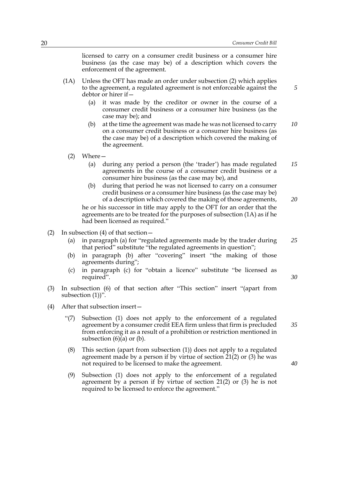licensed to carry on a consumer credit business or a consumer hire business (as the case may be) of a description which covers the enforcement of the agreement.

- (1A) Unless the OFT has made an order under subsection (2) which applies to the agreement, a regulated agreement is not enforceable against the debtor or hirer if—
	- (a) it was made by the creditor or owner in the course of a consumer credit business or a consumer hire business (as the case may be); and
	- (b) at the time the agreement was made he was not licensed to carry on a consumer credit business or a consumer hire business (as the case may be) of a description which covered the making of the agreement. *10*

(2) Where—

- (a) during any period a person (the 'trader') has made regulated agreements in the course of a consumer credit business or a consumer hire business (as the case may be), and *15*
- (b) during that period he was not licensed to carry on a consumer credit business or a consumer hire business (as the case may be) of a description which covered the making of those agreements,

he or his successor in title may apply to the OFT for an order that the agreements are to be treated for the purposes of subsection (1A) as if he had been licensed as required."

- (2) In subsection (4) of that section—
	- (a) in paragraph (a) for "regulated agreements made by the trader during that period" substitute "the regulated agreements in question"; *25*
	- (b) in paragraph (b) after "covering" insert "the making of those agreements during";
	- (c) in paragraph (c) for "obtain a licence" substitute "be licensed as required".
- (3) In subsection (6) of that section after "This section" insert "(apart from subsection  $(1)$ ".
- (4) After that subsection insert—
	- "(7) Subsection (1) does not apply to the enforcement of a regulated agreement by a consumer credit EEA firm unless that firm is precluded from enforcing it as a result of a prohibition or restriction mentioned in subsection  $(6)(a)$  or  $(b)$ .
	- (8) This section (apart from subsection (1)) does not apply to a regulated agreement made by a person if by virtue of section 21(2) or (3) he was not required to be licensed to make the agreement.
	- (9) Subsection (1) does not apply to the enforcement of a regulated agreement by a person if by virtue of section 21(2) or (3) he is not required to be licensed to enforce the agreement."

*5*

*20*

*30*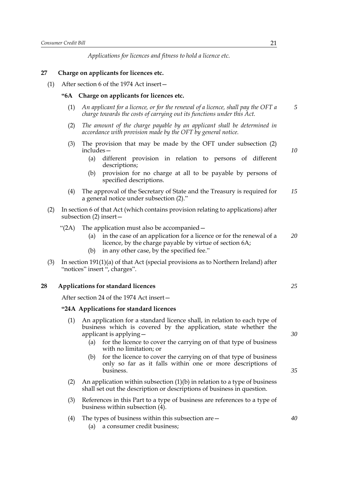*Applications for licences and fitness to hold a licence etc.*

# **27 Charge on applicants for licences etc.**

(1) After section 6 of the 1974 Act insert—

# **"6A Charge on applicants for licences etc.**

- (1) *An applicant for a licence, or for the renewal of a licence, shall pay the OFT a charge towards the costs of carrying out its functions under this Act.*
- (2) *The amount of the charge payable by an applicant shall be determined in accordance with provision made by the OFT by general notice.*
- (3) The provision that may be made by the OFT under subsection (2) includes—
	- (a) different provision in relation to persons of different descriptions;
	- (b) provision for no charge at all to be payable by persons of specified descriptions.
- (4) The approval of the Secretary of State and the Treasury is required for a general notice under subsection (2)." *15*
- (2) In section 6 of that Act (which contains provision relating to applications) after subsection (2) insert—
	- " $(2A)$  The application must also be accompanied  $-$ 
		- (a) in the case of an application for a licence or for the renewal of a licence, by the charge payable by virtue of section 6A; *20*
		- (b) in any other case, by the specified fee."
- (3) In section 191(1)(a) of that Act (special provisions as to Northern Ireland) after "notices" insert ", charges".

#### **28 Applications for standard licences**

After section 24 of the 1974 Act insert—

#### **"24A Applications for standard licences**

- (1) An application for a standard licence shall, in relation to each type of business which is covered by the application, state whether the applicant is applying—
	- (a) for the licence to cover the carrying on of that type of business with no limitation; or
	- (b) for the licence to cover the carrying on of that type of business only so far as it falls within one or more descriptions of business.
- (2) An application within subsection  $(1)(b)$  in relation to a type of business shall set out the description or descriptions of business in question.
- (3) References in this Part to a type of business are references to a type of business within subsection (4).
- (4) The types of business within this subsection are— (a) a consumer credit business;

*5*

*10*

*30*

*25*

*35*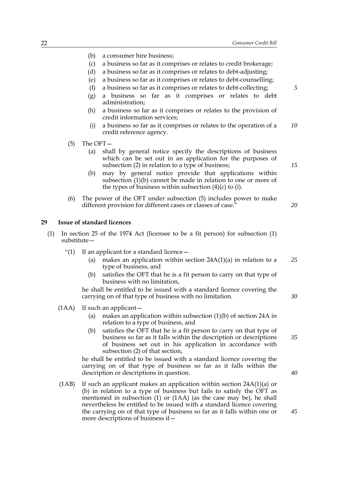- (b) a consumer hire business;
- (c) a business so far as it comprises or relates to credit brokerage;
- (d) a business so far as it comprises or relates to debt-adjusting;
- (e) a business so far as it comprises or relates to debt-counselling;
- (f) a business so far as it comprises or relates to debt-collecting;
- (g) a business so far as it comprises or relates to debt administration;
- (h) a business so far as it comprises or relates to the provision of credit information services;
- (i) a business so far as it comprises or relates to the operation of a credit reference agency. *10*
- $(5)$  The OFT  $-$ 
	- (a) shall by general notice specify the descriptions of business which can be set out in an application for the purposes of subsection (2) in relation to a type of business;
	- (b) may by general notice provide that applications within subsection (1)(b) cannot be made in relation to one or more of the types of business within subsection  $(4)(c)$  to  $(i)$ .
- (6) The power of the OFT under subsection (5) includes power to make different provision for different cases or classes of case."

# **29 Issue of standard licences**

- (1) In section 25 of the 1974 Act (licensee to be a fit person) for subsection (1) substitute—
	- "(1) If an applicant for a standard licence—
		- (a) makes an application within section  $24A(1)(a)$  in relation to a type of business, and
		- (b) satisfies the OFT that he is a fit person to carry on that type of business with no limitation,

he shall be entitled to be issued with a standard licence covering the carrying on of that type of business with no limitation.

- (1AA) If such an applicant—
	- (a) makes an application within subsection (1)(b) of section 24A in relation to a type of business, and
	- (b) satisfies the OFT that he is a fit person to carry on that type of business so far as it falls within the description or descriptions of business set out in his application in accordance with subsection (2) of that section,

he shall be entitled to be issued with a standard licence covering the carrying on of that type of business so far as it falls within the description or descriptions in question.

(1AB) If such an applicant makes an application within section  $24A(1)(a)$  or (b) in relation to a type of business but fails to satisfy the OFT as mentioned in subsection (1) or (1AA) (as the case may be), he shall nevertheless be entitled to be issued with a standard licence covering the carrying on of that type of business so far as it falls within one or more descriptions of business if*5*

*20*

*15*

*30*

*25*

*40*

*45*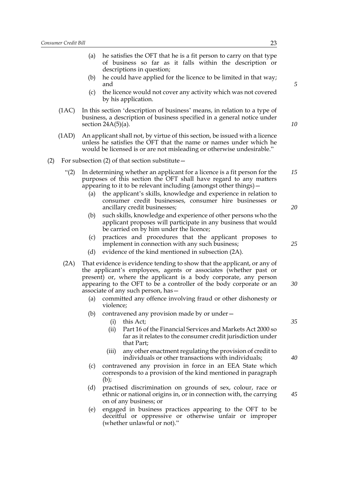- (a) he satisfies the OFT that he is a fit person to carry on that type of business so far as it falls within the description or descriptions in question; (b) he could have applied for the licence to be limited in that way; and (c) the licence would not cover any activity which was not covered by his application. (1AC) In this section 'description of business' means, in relation to a type of business, a description of business specified in a general notice under section  $24A(5)(a)$ . (1AD) An applicant shall not, by virtue of this section, be issued with a licence unless he satisfies the OFT that the name or names under which he would be licensed is or are not misleading or otherwise undesirable." (2) For subsection (2) of that section substitute  $-$ "(2) In determining whether an applicant for a licence is a fit person for the purposes of this section the OFT shall have regard to any matters appearing to it to be relevant including (amongst other things)— (a) the applicant's skills, knowledge and experience in relation to consumer credit businesses, consumer hire businesses or ancillary credit businesses; (b) such skills, knowledge and experience of other persons who the applicant proposes will participate in any business that would be carried on by him under the licence; (c) practices and procedures that the applicant proposes to implement in connection with any such business; (d) evidence of the kind mentioned in subsection (2A). (2A) That evidence is evidence tending to show that the applicant, or any of the applicant's employees, agents or associates (whether past or present) or, where the applicant is a body corporate, any person appearing to the OFT to be a controller of the body corporate or an associate of any such person, has— (a) committed any offence involving fraud or other dishonesty or violence; (b) contravened any provision made by or under— (i) this Act; (ii) Part 16 of the Financial Services and Markets Act 2000 so far as it relates to the consumer credit jurisdiction under that Part; (iii) any other enactment regulating the provision of credit to individuals or other transactions with individuals; (c) contravened any provision in force in an EEA State which corresponds to a provision of the kind mentioned in paragraph *5 10 15 20 25 30 35 40*
	- (b); (d) practised discrimination on grounds of sex, colour, race or ethnic or national origins in, or in connection with, the carrying on of any business; or
	- (e) engaged in business practices appearing to the OFT to be deceitful or oppressive or otherwise unfair or improper (whether unlawful or not)."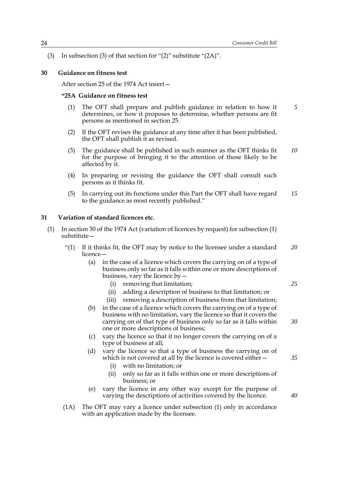(3) In subsection (3) of that section for "(2)" substitute "(2A)".

#### **30 Guidance on fitness test**

After section 25 of the 1974 Act insert—

# **"25A Guidance on fitness test**

- (1) The OFT shall prepare and publish guidance in relation to how it determines, or how it proposes to determine, whether persons are fit persons as mentioned in section 25. *5*
- (2) If the OFT revises the guidance at any time after it has been published, the OFT shall publish it as revised.
- (3) The guidance shall be published in such manner as the OFT thinks fit for the purpose of bringing it to the attention of those likely to be affected by it. *10*
- (4) In preparing or revising the guidance the OFT shall consult such persons as it thinks fit.
- (5) In carrying out its functions under this Part the OFT shall have regard to the guidance as most recently published." *15*

#### **31 Variation of standard licences etc.**

- (1) In section 30 of the 1974 Act (variation of licences by request) for subsection (1) substitute—
	- "(1) If it thinks fit, the OFT may by notice to the licensee under a standard licence— *20*
		- (a) in the case of a licence which covers the carrying on of a type of business only so far as it falls within one or more descriptions of business, vary the licence by—
			- (i) removing that limitation;
			- (ii) adding a description of business to that limitation; or
			- (iii) removing a description of business from that limitation;
		- (b) in the case of a licence which covers the carrying on of a type of business with no limitation, vary the licence so that it covers the carrying on of that type of business only so far as it falls within one or more descriptions of business;
		- (c) vary the licence so that it no longer covers the carrying on of a type of business at all;
		- (d) vary the licence so that a type of business the carrying on of which is not covered at all by the licence is covered either-
			- (i) with no limitation; or
			- (ii) only so far as it falls within one or more descriptions of business; or
		- (e) vary the licence in any other way except for the purpose of varying the descriptions of activities covered by the licence.
	- (1A) The OFT may vary a licence under subsection (1) only in accordance with an application made by the licensee.

*25*

*30*

*40*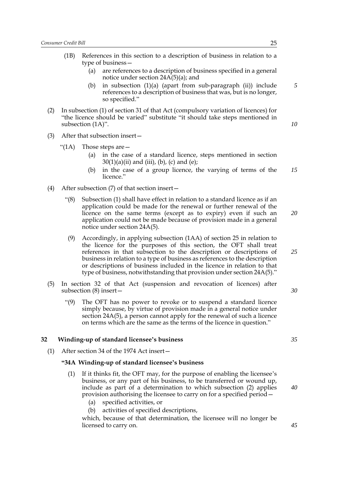- (1B) References in this section to a description of business in relation to a type of business—
	- (a) are references to a description of business specified in a general notice under section  $24A(5)(a)$ ; and
	- (b) in subsection (1)(a) (apart from sub-paragraph (ii)) include references to a description of business that was, but is no longer, so specified."
- (2) In subsection (1) of section 31 of that Act (compulsory variation of licences) for "the licence should be varied" substitute "it should take steps mentioned in subsection (1A)".
- (3) After that subsection insert—
	- "(1A) Those steps are  $-$ 
		- (a) in the case of a standard licence, steps mentioned in section  $30(1)(a)(ii)$  and (iii), (b), (c) and (e);
		- (b) in the case of a group licence, the varying of terms of the licence." *15*
- (4) After subsection (7) of that section insert—
	- "(8) Subsection (1) shall have effect in relation to a standard licence as if an application could be made for the renewal or further renewal of the licence on the same terms (except as to expiry) even if such an application could not be made because of provision made in a general notice under section 24A(5). *20*
	- (9) Accordingly, in applying subsection (1AA) of section 25 in relation to the licence for the purposes of this section, the OFT shall treat references in that subsection to the description or descriptions of business in relation to a type of business as references to the description or descriptions of business included in the licence in relation to that type of business, notwithstanding that provision under section 24A(5)."
- (5) In section 32 of that Act (suspension and revocation of licences) after subsection (8) insert—
	- "(9) The OFT has no power to revoke or to suspend a standard licence simply because, by virtue of provision made in a general notice under section 24A(5), a person cannot apply for the renewal of such a licence on terms which are the same as the terms of the licence in question."

# **32 Winding-up of standard licensee's business**

(1) After section 34 of the 1974 Act insert—

#### **"34A Winding-up of standard licensee's business**

- (1) If it thinks fit, the OFT may, for the purpose of enabling the licensee's business, or any part of his business, to be transferred or wound up, include as part of a determination to which subsection (2) applies provision authorising the licensee to carry on for a specified period—
	- (a) specified activities, or
	- (b) activities of specified descriptions,

which, because of that determination, the licensee will no longer be licensed to carry on.

*5*

*10*

*25*

*30*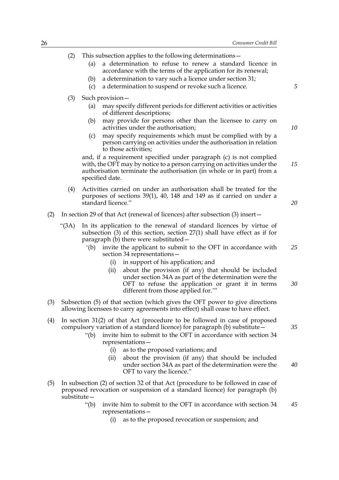|     | (2)                                                                                                                                                                              | This subsection applies to the following determinations –<br>a determination to refuse to renew a standard licence in<br>(a)<br>accordance with the terms of the application for its renewal;                                                                    |    |
|-----|----------------------------------------------------------------------------------------------------------------------------------------------------------------------------------|------------------------------------------------------------------------------------------------------------------------------------------------------------------------------------------------------------------------------------------------------------------|----|
|     |                                                                                                                                                                                  | a determination to vary such a licence under section 31;<br>(b)<br>a determination to suspend or revoke such a licence.<br>(c)                                                                                                                                   | 5  |
|     | (3)                                                                                                                                                                              | Such provision-                                                                                                                                                                                                                                                  |    |
|     |                                                                                                                                                                                  | may specify different periods for different activities or activities<br>(a)<br>of different descriptions;                                                                                                                                                        |    |
|     |                                                                                                                                                                                  | may provide for persons other than the licensee to carry on<br>(b)<br>activities under the authorisation;                                                                                                                                                        | 10 |
|     |                                                                                                                                                                                  | may specify requirements which must be complied with by a<br>(c)<br>person carrying on activities under the authorisation in relation<br>to those activities;                                                                                                    |    |
|     |                                                                                                                                                                                  | and, if a requirement specified under paragraph (c) is not complied<br>with, the OFT may by notice to a person carrying on activities under the<br>authorisation terminate the authorisation (in whole or in part) from a<br>specified date.                     | 15 |
|     | (4)                                                                                                                                                                              | Activities carried on under an authorisation shall be treated for the<br>purposes of sections $39(1)$ , 40, 148 and 149 as if carried on under a<br>standard licence."                                                                                           | 20 |
| (2) | In section 29 of that Act (renewal of licences) after subsection (3) insert—                                                                                                     |                                                                                                                                                                                                                                                                  |    |
|     | " $(3A)$                                                                                                                                                                         | In its application to the renewal of standard licences by virtue of<br>subsection $(3)$ of this section, section $27(1)$ shall have effect as if for<br>paragraph (b) there were substituted –                                                                   |    |
|     |                                                                                                                                                                                  | $\cdot$ (b)<br>invite the applicant to submit to the OFT in accordance with<br>section 34 representations -                                                                                                                                                      | 25 |
|     |                                                                                                                                                                                  | in support of his application; and<br>(i)<br>about the provision (if any) that should be included<br>(ii)<br>under section 34A as part of the determination were the<br>OFT to refuse the application or grant it in terms<br>different from those applied for." | 30 |
| (3) | Subsection (5) of that section (which gives the OFT power to give directions<br>allowing licensees to carry agreements into effect) shall cease to have effect.                  |                                                                                                                                                                                                                                                                  |    |
| (4) |                                                                                                                                                                                  | In section 31(2) of that Act (procedure to be followed in case of proposed<br>compulsory variation of a standard licence) for paragraph (b) substitute –<br>invite him to submit to the OFT in accordance with section 34<br>" $(b)$<br>representations-         | 35 |
|     |                                                                                                                                                                                  | (i)<br>as to the proposed variations; and<br>about the provision (if any) that should be included<br>(ii)<br>under section 34A as part of the determination were the<br>OFT to vary the licence."                                                                | 40 |
| (5) | In subsection (2) of section 32 of that Act (procedure to be followed in case of<br>proposed revocation or suspension of a standard licence) for paragraph (b)<br>$substitute -$ |                                                                                                                                                                                                                                                                  |    |
|     |                                                                                                                                                                                  | invite him to submit to the OFT in accordance with section 34<br>"(b)<br>representations-                                                                                                                                                                        | 45 |
|     |                                                                                                                                                                                  | as to the proposed revocation or suspension; and<br>(i)                                                                                                                                                                                                          |    |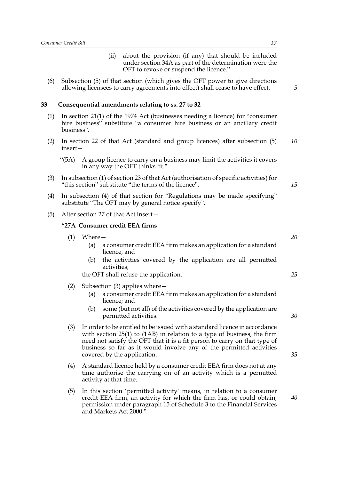- (ii) about the provision (if any) that should be included under section 34A as part of the determination were the OFT to revoke or suspend the licence."
- (6) Subsection (5) of that section (which gives the OFT power to give directions allowing licensees to carry agreements into effect) shall cease to have effect.

#### **33 Consequential amendments relating to ss. 27 to 32**

- (1) In section 21(1) of the 1974 Act (businesses needing a licence) for "consumer hire business" substitute "a consumer hire business or an ancillary credit business".
- (2) In section 22 of that Act (standard and group licences) after subsection (5) insert— *10*
	- "(5A) A group licence to carry on a business may limit the activities it covers in any way the OFT thinks fit."
- (3) In subsection (1) of section 23 of that Act (authorisation of specific activities) for "this section" substitute "the terms of the licence".
- (4) In subsection (4) of that section for "Regulations may be made specifying" substitute "The OFT may by general notice specify".
- (5) After section 27 of that Act insert—

#### **"27A Consumer credit EEA firms**

- (1) Where— (a) a consumer credit EEA firm makes an application for a standard licence, and (b) the activities covered by the application are all permitted *20*
	- activities,

the OFT shall refuse the application.

- (2) Subsection (3) applies where  $-$ 
	- (a) a consumer credit EEA firm makes an application for a standard licence; and
	- (b) some (but not all) of the activities covered by the application are permitted activities.
- (3) In order to be entitled to be issued with a standard licence in accordance with section 25(1) to (1AB) in relation to a type of business, the firm need not satisfy the OFT that it is a fit person to carry on that type of business so far as it would involve any of the permitted activities covered by the application.
- (4) A standard licence held by a consumer credit EEA firm does not at any time authorise the carrying on of an activity which is a permitted activity at that time.
- (5) In this section 'permitted activity' means, in relation to a consumer credit EEA firm, an activity for which the firm has, or could obtain, permission under paragraph 15 of Schedule 3 to the Financial Services and Markets Act 2000."

*5*

*15*

*35*

*40*

*25*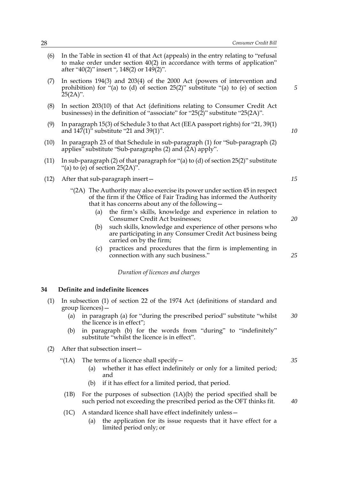- (6) In the Table in section 41 of that Act (appeals) in the entry relating to "refusal to make order under section 40(2) in accordance with terms of application" after "40(2)" insert ", 148(2) or 149(2)".
- (7) In sections 194(3) and 203(4) of the 2000 Act (powers of intervention and prohibition) for "(a) to (d) of section  $25(2)$ " substitute "(a) to (e) of section  $25(2A)$ ".
- (8) In section 203(10) of that Act (definitions relating to Consumer Credit Act businesses) in the definition of "associate" for "25 $(2)$ " substitute "25 $(2A)$ ".
- (9) In paragraph 15(3) of Schedule 3 to that Act (EEA passport rights) for "21, 39(1) and 147(1)" substitute "21 and 39(1)".
- (10) In paragraph 23 of that Schedule in sub-paragraph (1) for "Sub-paragraph (2) applies" substitute "Sub-paragraphs (2) and (2A) apply".
- (11) In sub-paragraph (2) of that paragraph for "(a) to (d) of section 25(2)" substitute "(a) to (e) of section  $25(2)$ ".
- (12) After that sub-paragraph insert—
	- "(2A) The Authority may also exercise its power under section 45 in respect of the firm if the Office of Fair Trading has informed the Authority that it has concerns about any of the following—
		- (a) the firm's skills, knowledge and experience in relation to Consumer Credit Act businesses;
		- (b) such skills, knowledge and experience of other persons who are participating in any Consumer Credit Act business being carried on by the firm;
		- (c) practices and procedures that the firm is implementing in connection with any such business."

## *Duration of licences and charges*

#### **34 Definite and indefinite licences**

- (1) In subsection (1) of section 22 of the 1974 Act (definitions of standard and group licences)—
	- (a) in paragraph (a) for "during the prescribed period" substitute "whilst the licence is in effect"; *30*
	- (b) in paragraph (b) for the words from "during" to "indefinitely" substitute "whilst the licence is in effect".
- (2) After that subsection insert—
	- "(1A) The terms of a licence shall specify  $-$ 
		- (a) whether it has effect indefinitely or only for a limited period; and
		- (b) if it has effect for a limited period, that period.
	- (1B) For the purposes of subsection (1A)(b) the period specified shall be such period not exceeding the prescribed period as the OFT thinks fit.
	- (1C) A standard licence shall have effect indefinitely unless—
		- (a) the application for its issue requests that it have effect for a limited period only; or

*10*

*5*

*20*

*15*

*25*

*35*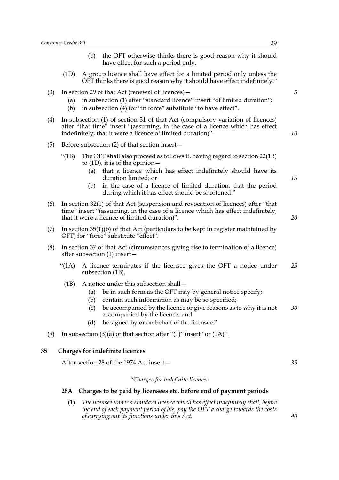- (b) the OFT otherwise thinks there is good reason why it should have effect for such a period only.
- (1D) A group licence shall have effect for a limited period only unless the OFT thinks there is good reason why it should have effect indefinitely."

#### (3) In section 29 of that Act (renewal of licences)—

- (a) in subsection (1) after "standard licence" insert "of limited duration";
- (b) in subsection (4) for "in force" substitute "to have effect".
- (4) In subsection (1) of section 31 of that Act (compulsory variation of licences) after "that time" insert "(assuming, in the case of a licence which has effect indefinitely, that it were a licence of limited duration)".
- (5) Before subsection (2) of that section insert—
	- "(1B) The OFT shall also proceed as follows if, having regard to section 22(1B) to  $(1D)$ , it is of the opinion  $-$ 
		- (a) that a licence which has effect indefinitely should have its duration limited; or
		- (b) in the case of a licence of limited duration, that the period during which it has effect should be shortened."
- (6) In section 32(1) of that Act (suspension and revocation of licences) after "that time" insert "(assuming, in the case of a licence which has effect indefinitely, that it were a licence of limited duration)".
- (7) In section 35(1)(b) of that Act (particulars to be kept in register maintained by OFT) for "force" substitute "effect".
- (8) In section 37 of that Act (circumstances giving rise to termination of a licence) after subsection (1) insert—
	- "(1A) A licence terminates if the licensee gives the OFT a notice under subsection (1B). *25*
	- (1B) A notice under this subsection shall—
		- (a) be in such form as the OFT may by general notice specify;
		- (b) contain such information as may be so specified;
		- (c) be accompanied by the licence or give reasons as to why it is not accompanied by the licence; and *30*
		- (d) be signed by or on behalf of the licensee."
- (9) In subsection (3)(a) of that section after "(1)" insert "or  $(1A)$ ".

#### **35 Charges for indefinite licences**

After section 28 of the 1974 Act insert—

# *"Charges for indefinite licences*

#### **28A Charges to be paid by licensees etc. before end of payment periods**

(1) *The licensee under a standard licence which has effect indefinitely shall, before the end of each payment period of his, pay the OFT a charge towards the costs of carrying out its functions under this Act.*

*35*

*15*

*5*

*10*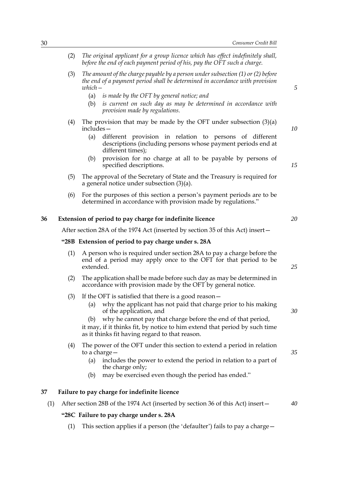- (2) *The original applicant for a group licence which has effect indefinitely shall, before the end of each payment period of his, pay the OFT such a charge.* (3) *The amount of the charge payable by a person under subsection (1) or (2) before the end of a payment period shall be determined in accordance with provision which—* (a) *is made by the OFT by general notice; and* (b) *is current on such day as may be determined in accordance with provision made by regulations.*
- (4) The provision that may be made by the OFT under subsection  $(3)(a)$ includes—
	- (a) different provision in relation to persons of different descriptions (including persons whose payment periods end at different times);
	- (b) provision for no charge at all to be payable by persons of specified descriptions.
- (5) The approval of the Secretary of State and the Treasury is required for a general notice under subsection (3)(a).
- (6) For the purposes of this section a person's payment periods are to be determined in accordance with provision made by regulations."

# **36 Extension of period to pay charge for indefinite licence**

After section 28A of the 1974 Act (inserted by section 35 of this Act) insert—

# **"28B Extension of period to pay charge under s. 28A**

- (1) A person who is required under section 28A to pay a charge before the end of a period may apply once to the OFT for that period to be extended.
- (2) The application shall be made before such day as may be determined in accordance with provision made by the OFT by general notice.
- (3) If the OFT is satisfied that there is a good reason—
	- (a) why the applicant has not paid that charge prior to his making of the application, and
	- (b) why he cannot pay that charge before the end of that period,

it may, if it thinks fit, by notice to him extend that period by such time as it thinks fit having regard to that reason.

- (4) The power of the OFT under this section to extend a period in relation to a charge—
	- (a) includes the power to extend the period in relation to a part of the charge only;
	- (b) may be exercised even though the period has ended."

# **37 Failure to pay charge for indefinite licence**

(1) After section 28B of the 1974 Act (inserted by section 36 of this Act) insert— *40*

### **"28C Failure to pay charge under s. 28A**

(1) This section applies if a person (the 'defaulter') fails to pay a charge—

*10*

*15*

*5*

*20*

*30*

*25*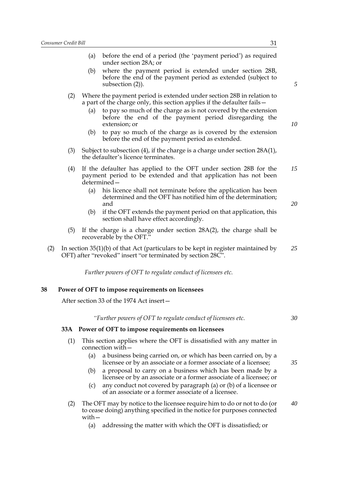- (a) before the end of a period (the 'payment period') as required under section 28A; or
- (b) where the payment period is extended under section 28B, before the end of the payment period as extended (subject to subsection (2)).
- (2) Where the payment period is extended under section 28B in relation to a part of the charge only, this section applies if the defaulter fails—
	- (a) to pay so much of the charge as is not covered by the extension before the end of the payment period disregarding the extension; or
	- (b) to pay so much of the charge as is covered by the extension before the end of the payment period as extended.
- (3) Subject to subsection (4), if the charge is a charge under section 28A(1), the defaulter's licence terminates.
- (4) If the defaulter has applied to the OFT under section 28B for the payment period to be extended and that application has not been determined— *15*
	- (a) his licence shall not terminate before the application has been determined and the OFT has notified him of the determination; and
	- (b) if the OFT extends the payment period on that application, this section shall have effect accordingly.
- (5) If the charge is a charge under section 28A(2), the charge shall be recoverable by the OFT."
- (2) In section 35(1)(b) of that Act (particulars to be kept in register maintained by OFT) after "revoked" insert "or terminated by section 28C". *25*

*Further powers of OFT to regulate conduct of licensees etc.*

#### **38 Power of OFT to impose requirements on licensees**

After section 33 of the 1974 Act insert—

*"Further powers of OFT to regulate conduct of licensees etc.*

# **33A Power of OFT to impose requirements on licensees**

- (1) This section applies where the OFT is dissatisfied with any matter in connection with—
	- (a) a business being carried on, or which has been carried on, by a licensee or by an associate or a former associate of a licensee;
	- (b) a proposal to carry on a business which has been made by a licensee or by an associate or a former associate of a licensee; or
	- (c) any conduct not covered by paragraph (a) or (b) of a licensee or of an associate or a former associate of a licensee.
- (2) The OFT may by notice to the licensee require him to do or not to do (or to cease doing) anything specified in the notice for purposes connected with— *40*
	- (a) addressing the matter with which the OFT is dissatisfied; or

*10*

*5*

*20*

*30*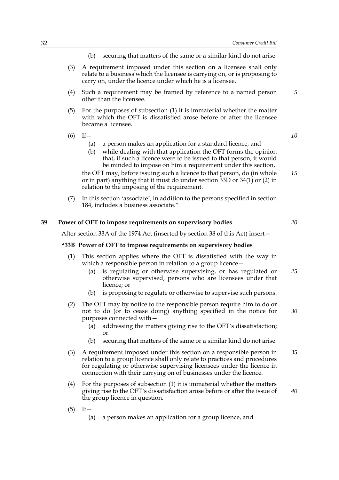- (b) securing that matters of the same or a similar kind do not arise.
- (3) A requirement imposed under this section on a licensee shall only relate to a business which the licensee is carrying on, or is proposing to carry on, under the licence under which he is a licensee.
- (4) Such a requirement may be framed by reference to a named person other than the licensee.
- (5) For the purposes of subsection (1) it is immaterial whether the matter with which the OFT is dissatisfied arose before or after the licensee became a licensee.
- $(6)$  If  $-$ 
	- (a) a person makes an application for a standard licence, and
	- (b) while dealing with that application the OFT forms the opinion that, if such a licence were to be issued to that person, it would be minded to impose on him a requirement under this section,

the OFT may, before issuing such a licence to that person, do (in whole or in part) anything that it must do under section 33D or 34(1) or (2) in relation to the imposing of the requirement. *15*

(7) In this section 'associate', in addition to the persons specified in section 184, includes a business associate."

#### **39 Power of OFT to impose requirements on supervisory bodies**

After section 33A of the 1974 Act (inserted by section 38 of this Act) insert—

#### **"33B Power of OFT to impose requirements on supervisory bodies**

- (1) This section applies where the OFT is dissatisfied with the way in which a responsible person in relation to a group licence –
	- (a) is regulating or otherwise supervising, or has regulated or otherwise supervised, persons who are licensees under that licence; or *25*
	- (b) is proposing to regulate or otherwise to supervise such persons.
- (2) The OFT may by notice to the responsible person require him to do or not to do (or to cease doing) anything specified in the notice for purposes connected with— *30*
	- (a) addressing the matters giving rise to the OFT's dissatisfaction; or
	- (b) securing that matters of the same or a similar kind do not arise.
- (3) A requirement imposed under this section on a responsible person in relation to a group licence shall only relate to practices and procedures for regulating or otherwise supervising licensees under the licence in connection with their carrying on of businesses under the licence. *35*
- (4) For the purposes of subsection (1) it is immaterial whether the matters giving rise to the OFT's dissatisfaction arose before or after the issue of the group licence in question.
- $(5)$  If —

*10*

*5*

*20*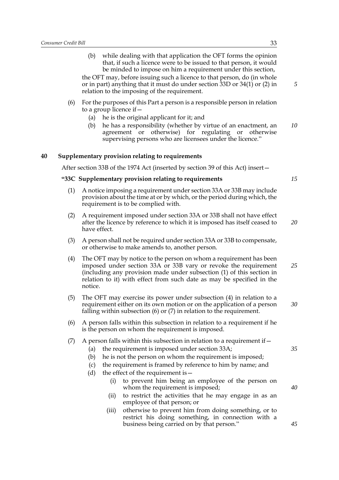(b) while dealing with that application the OFT forms the opinion that, if such a licence were to be issued to that person, it would be minded to impose on him a requirement under this section,

the OFT may, before issuing such a licence to that person, do (in whole or in part) anything that it must do under section 33D or 34(1) or (2) in relation to the imposing of the requirement.

- (6) For the purposes of this Part a person is a responsible person in relation to a group licence if  $-$ 
	- (a) he is the original applicant for it; and
	- (b) he has a responsibility (whether by virtue of an enactment, an agreement or otherwise) for regulating or otherwise supervising persons who are licensees under the licence." *10*

## **40 Supplementary provision relating to requirements**

After section 33B of the 1974 Act (inserted by section 39 of this Act) insert—

## **"33C Supplementary provision relating to requirements**

- (1) A notice imposing a requirement under section 33A or 33B may include provision about the time at or by which, or the period during which, the requirement is to be complied with.
- (2) A requirement imposed under section 33A or 33B shall not have effect after the licence by reference to which it is imposed has itself ceased to have effect. *20*
- (3) A person shall not be required under section 33A or 33B to compensate, or otherwise to make amends to, another person.
- (4) The OFT may by notice to the person on whom a requirement has been imposed under section 33A or 33B vary or revoke the requirement (including any provision made under subsection (1) of this section in relation to it) with effect from such date as may be specified in the notice. *25*
- (5) The OFT may exercise its power under subsection (4) in relation to a requirement either on its own motion or on the application of a person falling within subsection (6) or (7) in relation to the requirement. *30*
- (6) A person falls within this subsection in relation to a requirement if he is the person on whom the requirement is imposed.

## (7) A person falls within this subsection in relation to a requirement if  $-$

- (a) the requirement is imposed under section 33A;
- (b) he is not the person on whom the requirement is imposed;
- (c) the requirement is framed by reference to him by name; and
- (d) the effect of the requirement is—
	- (i) to prevent him being an employee of the person on whom the requirement is imposed;
	- (ii) to restrict the activities that he may engage in as an employee of that person; or
	- (iii) otherwise to prevent him from doing something, or to restrict his doing something, in connection with a business being carried on by that person."

*35*

*40*

*45*

*15*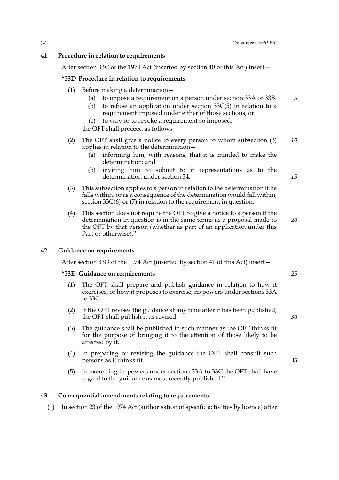#### **41 Procedure in relation to requirements**

After section 33C of the 1974 Act (inserted by section 40 of this Act) insert—

## **"33D Procedure in relation to requirements**

- (1) Before making a determination—
	- (a) to impose a requirement on a person under section 33A or 33B,
	- (b) to refuse an application under section  $33C(5)$  in relation to a requirement imposed under either of those sections, or
	- (c) to vary or to revoke a requirement so imposed,

the OFT shall proceed as follows.

- (2) The OFT shall give a notice to every person to whom subsection (3) applies in relation to the determination— *10*
	- (a) informing him, with reasons, that it is minded to make the determination; and
	- (b) inviting him to submit to it representations as to the determination under section 34.
- (3) This subsection applies to a person in relation to the determination if he falls within, or as a consequence of the determination would fall within, section 33C(6) or (7) in relation to the requirement in question.
- (4) This section does not require the OFT to give a notice to a person if the determination in question is in the same terms as a proposal made to the OFT by that person (whether as part of an application under this Part or otherwise)."

#### **42 Guidance on requirements**

After section 33D of the 1974 Act (inserted by section 41 of this Act) insert—

## **"33E Guidance on requirements**

- (1) The OFT shall prepare and publish guidance in relation to how it exercises, or how it proposes to exercise, its powers under sections 33A to 33C.
- (2) If the OFT revises the guidance at any time after it has been published, the OFT shall publish it as revised.
- (3) The guidance shall be published in such manner as the OFT thinks fit for the purpose of bringing it to the attention of those likely to be affected by it.
- (4) In preparing or revising the guidance the OFT shall consult such persons as it thinks fit.
- (5) In exercising its powers under sections 33A to 33C the OFT shall have regard to the guidance as most recently published."

## **43 Consequential amendments relating to requirements**

(1) In section 23 of the 1974 Act (authorisation of specific activities by licence) after

*15*

*20*

*5*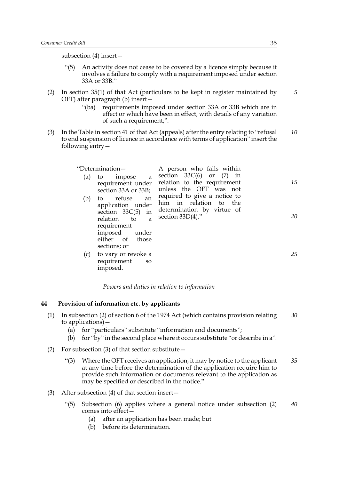subsection (4) insert—

- "(5) An activity does not cease to be covered by a licence simply because it involves a failure to comply with a requirement imposed under section 33A or 33B."
- (2) In section 35(1) of that Act (particulars to be kept in register maintained by OFT) after paragraph (b) insert—
	- "(ba) requirements imposed under section 33A or 33B which are in effect or which have been in effect, with details of any variation of such a requirement;".
- (3) In the Table in section 41 of that Act (appeals) after the entry relating to "refusal to end suspension of licence in accordance with terms of application" insert the following entry— *10*

|            | "Determination-                                                                                               | A person who falls within                                                                                                                     |    |
|------------|---------------------------------------------------------------------------------------------------------------|-----------------------------------------------------------------------------------------------------------------------------------------------|----|
| (a)<br>(b) | impose<br>a<br>to<br>requirement under<br>section 33A or 33B;<br>refuse<br>an<br>to<br>application under      | section $33C(6)$ or (7) in<br>relation to the requirement<br>unless the OFT was not<br>required to give a notice to<br>him in relation to the | 15 |
|            | section $33C(5)$ in<br>relation<br>to<br>a<br>requirement<br>imposed under<br>either of those<br>sections; or | determination by virtue of<br>section $33D(4)$ ."                                                                                             | 20 |
| (c)        | to vary or revoke a<br>requirement<br><sub>SO</sub><br>imposed.                                               |                                                                                                                                               | 25 |

*Powers and duties in relation to information*

## **44 Provision of information etc. by applicants**

- (1) In subsection (2) of section 6 of the 1974 Act (which contains provision relating to applications)— *30*
	- (a) for "particulars" substitute "information and documents";
	- (b) for "by" in the second place where it occurs substitute "or describe in a".
- (2) For subsection (3) of that section substitute—
	- "(3) Where the OFT receives an application, it may by notice to the applicant at any time before the determination of the application require him to provide such information or documents relevant to the application as may be specified or described in the notice." *35*
- (3) After subsection (4) of that section insert—
	- "(5) Subsection (6) applies where a general notice under subsection (2) comes into effect— *40*
		- (a) after an application has been made; but
		- (b) before its determination.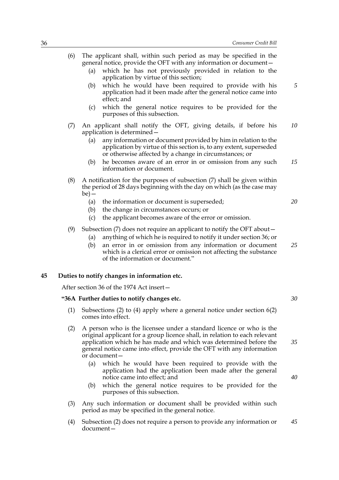|    | (6) | The applicant shall, within such period as may be specified in the<br>general notice, provide the OFT with any information or document -<br>which he has not previously provided in relation to the<br>(a)<br>application by virtue of this section;                                                                                |    |
|----|-----|-------------------------------------------------------------------------------------------------------------------------------------------------------------------------------------------------------------------------------------------------------------------------------------------------------------------------------------|----|
|    |     | which he would have been required to provide with his<br>(b)<br>application had it been made after the general notice came into<br>effect; and                                                                                                                                                                                      | 5  |
|    |     | which the general notice requires to be provided for the<br>(c)<br>purposes of this subsection.                                                                                                                                                                                                                                     |    |
|    | (7) | An applicant shall notify the OFT, giving details, if before his<br>application is determined –                                                                                                                                                                                                                                     | 10 |
|    |     | any information or document provided by him in relation to the<br>(a)<br>application by virtue of this section is, to any extent, superseded<br>or otherwise affected by a change in circumstances; or                                                                                                                              |    |
|    |     | he becomes aware of an error in or omission from any such<br>(b)<br>information or document.                                                                                                                                                                                                                                        | 15 |
|    | (8) | A notification for the purposes of subsection (7) shall be given within<br>the period of 28 days beginning with the day on which (as the case may<br>$be) -$                                                                                                                                                                        |    |
|    |     | (a)<br>the information or document is superseded;<br>the change in circumstances occurs; or<br>(b)<br>the applicant becomes aware of the error or omission.<br>(c)                                                                                                                                                                  | 20 |
|    | (9) | Subsection $(7)$ does not require an applicant to notify the OFT about $-$<br>anything of which he is required to notify it under section 36; or<br>(a)<br>an error in or omission from any information or document<br>(b)<br>which is a clerical error or omission not affecting the substance<br>of the information or document." | 25 |
| 45 |     | Duties to notify changes in information etc.                                                                                                                                                                                                                                                                                        |    |
|    |     | After section 36 of the 1974 Act insert –                                                                                                                                                                                                                                                                                           |    |
|    |     | "36A Further duties to notify changes etc.                                                                                                                                                                                                                                                                                          | 30 |
|    | (1) | Subsections (2) to (4) apply where a general notice under section $6(2)$                                                                                                                                                                                                                                                            |    |

- comes into effect.
- (2) A person who is the licensee under a standard licence or who is the original applicant for a group licence shall, in relation to each relevant application which he has made and which was determined before the general notice came into effect, provide the OFT with any information or document— *35*
	- (a) which he would have been required to provide with the application had the application been made after the general notice came into effect; and
	- (b) which the general notice requires to be provided for the purposes of this subsection.
- (3) Any such information or document shall be provided within such period as may be specified in the general notice.
- (4) Subsection (2) does not require a person to provide any information or document— *45*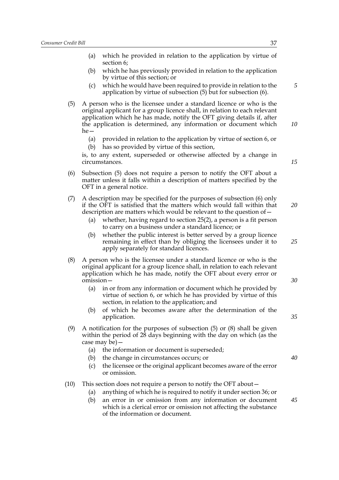he—

- (a) which he provided in relation to the application by virtue of section 6; (b) which he has previously provided in relation to the application by virtue of this section; or (c) which he would have been required to provide in relation to the application by virtue of subsection (5) but for subsection (6). (5) A person who is the licensee under a standard licence or who is the original applicant for a group licence shall, in relation to each relevant application which he has made, notify the OFT giving details if, after the application is determined, any information or document which (a) provided in relation to the application by virtue of section 6, or (b) has so provided by virtue of this section, is, to any extent, superseded or otherwise affected by a change in circumstances. (6) Subsection (5) does not require a person to notify the OFT about a matter unless it falls within a description of matters specified by the OFT in a general notice. (7) A description may be specified for the purposes of subsection (6) only if the OFT is satisfied that the matters which would fall within that description are matters which would be relevant to the question of— (a) whether, having regard to section 25(2), a person is a fit person to carry on a business under a standard licence; or (b) whether the public interest is better served by a group licence remaining in effect than by obliging the licensees under it to apply separately for standard licences. (8) A person who is the licensee under a standard licence or who is the original applicant for a group licence shall, in relation to each relevant application which he has made, notify the OFT about every error or omission— (a) in or from any information or document which he provided by virtue of section 6, or which he has provided by virtue of this section, in relation to the application; and (b) of which he becomes aware after the determination of the application. *5 10 15 20 25 30 35*
- (9) A notification for the purposes of subsection (5) or (8) shall be given within the period of 28 days beginning with the day on which (as the case may be)—
	- (a) the information or document is superseded;
	- (b) the change in circumstances occurs; or
	- (c) the licensee or the original applicant becomes aware of the error or omission.
- (10) This section does not require a person to notify the OFT about—
	- (a) anything of which he is required to notify it under section 36; or
	- (b) an error in or omission from any information or document which is a clerical error or omission not affecting the substance of the information or document. *45*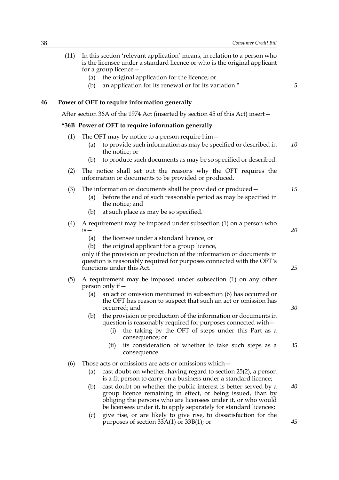|    | (11) | In this section 'relevant application' means, in relation to a person who<br>is the licensee under a standard licence or who is the original applicant<br>for a group licence $-$<br>the original application for the licence; or<br>(a)<br>an application for its renewal or for its variation."<br>(b) | 5  |
|----|------|----------------------------------------------------------------------------------------------------------------------------------------------------------------------------------------------------------------------------------------------------------------------------------------------------------|----|
| 46 |      | Power of OFT to require information generally                                                                                                                                                                                                                                                            |    |
|    |      | After section 36A of the 1974 Act (inserted by section 45 of this Act) insert –                                                                                                                                                                                                                          |    |
|    |      | "36B Power of OFT to require information generally                                                                                                                                                                                                                                                       |    |
|    | (1)  | The OFT may by notice to a person require $him -$<br>to provide such information as may be specified or described in<br>(a)<br>the notice; or<br>to produce such documents as may be so specified or described.<br>(b)                                                                                   | 10 |
|    | (2)  | The notice shall set out the reasons why the OFT requires the<br>information or documents to be provided or produced.                                                                                                                                                                                    |    |
|    | (3)  | The information or documents shall be provided or produced –<br>before the end of such reasonable period as may be specified in<br>(a)<br>the notice; and                                                                                                                                                | 15 |
|    |      | at such place as may be so specified.<br>(b)                                                                                                                                                                                                                                                             |    |
|    |      |                                                                                                                                                                                                                                                                                                          |    |

(4) A requirement may be imposed under subsection (1) on a person who  $i s -$ 

(a) the licensee under a standard licence, or

(b) the original applicant for a group licence,

only if the provision or production of the information or documents in question is reasonably required for purposes connected with the OFT's functions under this Act.

- (5) A requirement may be imposed under subsection (1) on any other person only if—
	- (a) an act or omission mentioned in subsection (6) has occurred or the OFT has reason to suspect that such an act or omission has occurred; and
	- (b) the provision or production of the information or documents in question is reasonably required for purposes connected with—
		- (i) the taking by the OFT of steps under this Part as a consequence; or
		- (ii) its consideration of whether to take such steps as a consequence. *35*
- (6) Those acts or omissions are acts or omissions which—
	- (a) cast doubt on whether, having regard to section 25(2), a person is a fit person to carry on a business under a standard licence;
	- (b) cast doubt on whether the public interest is better served by a group licence remaining in effect, or being issued, than by obliging the persons who are licensees under it, or who would be licensees under it, to apply separately for standard licences; *40*
	- (c) give rise, or are likely to give rise, to dissatisfaction for the purposes of section 33A(1) or 33B(1); or

*25*

*20*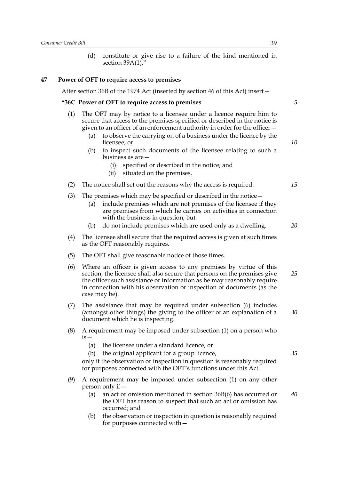(d) constitute or give rise to a failure of the kind mentioned in section  $39A(1)$ .

# **47 Power of OFT to require access to premises**

After section 36B of the 1974 Act (inserted by section 46 of this Act) insert—

## **"36C Power of OFT to require access to premises**

- (1) The OFT may by notice to a licensee under a licence require him to secure that access to the premises specified or described in the notice is given to an officer of an enforcement authority in order for the officer—
	- (a) to observe the carrying on of a business under the licence by the licensee; or
	- (b) to inspect such documents of the licensee relating to such a business as are—
		- (i) specified or described in the notice; and
		- (ii) situated on the premises.
- (2) The notice shall set out the reasons why the access is required.
- (3) The premises which may be specified or described in the notice—
	- (a) include premises which are not premises of the licensee if they are premises from which he carries on activities in connection with the business in question; but
	- (b) do not include premises which are used only as a dwelling. *20*
- (4) The licensee shall secure that the required access is given at such times as the OFT reasonably requires.
- (5) The OFT shall give reasonable notice of those times.
- (6) Where an officer is given access to any premises by virtue of this section, the licensee shall also secure that persons on the premises give the officer such assistance or information as he may reasonably require in connection with his observation or inspection of documents (as the case may be). *25*
- (7) The assistance that may be required under subsection (6) includes (amongst other things) the giving to the officer of an explanation of a document which he is inspecting. *30*
- (8) A requirement may be imposed under subsection (1) on a person who is—
	- (a) the licensee under a standard licence, or

(b) the original applicant for a group licence, only if the observation or inspection in question is reasonably required for purposes connected with the OFT's functions under this Act. *35*

- (9) A requirement may be imposed under subsection (1) on any other person only if—
	- (a) an act or omission mentioned in section 36B(6) has occurred or the OFT has reason to suspect that such an act or omission has occurred; and *40*
	- (b) the observation or inspection in question is reasonably required for purposes connected with—

*5*

*10*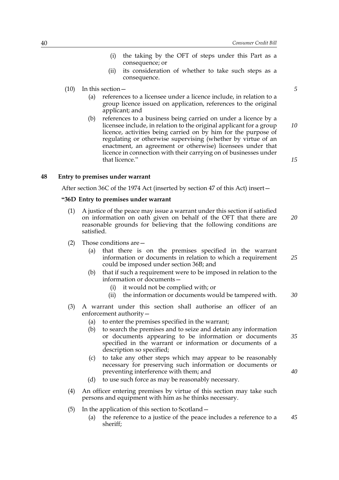- (i) the taking by the OFT of steps under this Part as a consequence; or
- (ii) its consideration of whether to take such steps as a consequence.
- (10) In this section—
	- (a) references to a licensee under a licence include, in relation to a group licence issued on application, references to the original applicant; and
	- (b) references to a business being carried on under a licence by a licensee include, in relation to the original applicant for a group licence, activities being carried on by him for the purpose of regulating or otherwise supervising (whether by virtue of an enactment, an agreement or otherwise) licensees under that licence in connection with their carrying on of businesses under that licence." *10 15*

**48 Entry to premises under warrant**

After section 36C of the 1974 Act (inserted by section 47 of this Act) insert—

#### **"36D Entry to premises under warrant**

- (1) A justice of the peace may issue a warrant under this section if satisfied on information on oath given on behalf of the OFT that there are reasonable grounds for believing that the following conditions are satisfied. *20*
- (2) Those conditions are—
	- (a) that there is on the premises specified in the warrant information or documents in relation to which a requirement could be imposed under section 36B; and
	- (b) that if such a requirement were to be imposed in relation to the information or documents—
		- (i) it would not be complied with; or
		- (ii) the information or documents would be tampered with. *30*
- (3) A warrant under this section shall authorise an officer of an enforcement authority—
	- (a) to enter the premises specified in the warrant;
	- (b) to search the premises and to seize and detain any information or documents appearing to be information or documents specified in the warrant or information or documents of a description so specified; *35*
	- (c) to take any other steps which may appear to be reasonably necessary for preserving such information or documents or preventing interference with them; and
	- (d) to use such force as may be reasonably necessary.
- (4) An officer entering premises by virtue of this section may take such persons and equipment with him as he thinks necessary.
- (5) In the application of this section to Scotland—
	- (a) the reference to a justice of the peace includes a reference to a sheriff; *45*

*5*

*25*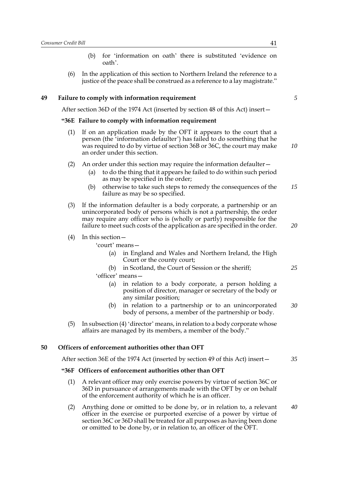- (b) for 'information on oath' there is substituted 'evidence on oath'.
- (6) In the application of this section to Northern Ireland the reference to a justice of the peace shall be construed as a reference to a lay magistrate."

## **49 Failure to comply with information requirement**

After section 36D of the 1974 Act (inserted by section 48 of this Act) insert—

#### **"36E Failure to comply with information requirement**

- (1) If on an application made by the OFT it appears to the court that a person (the 'information defaulter') has failed to do something that he was required to do by virtue of section 36B or 36C, the court may make an order under this section.
- (2) An order under this section may require the information defaulter  $-$ 
	- (a) to do the thing that it appears he failed to do within such period as may be specified in the order;
	- (b) otherwise to take such steps to remedy the consequences of the failure as may be so specified. *15*
- (3) If the information defaulter is a body corporate, a partnership or an unincorporated body of persons which is not a partnership, the order may require any officer who is (wholly or partly) responsible for the failure to meet such costs of the application as are specified in the order.
- (4) In this section—

'court' means—

- (a) in England and Wales and Northern Ireland, the High Court or the county court;
- (b) in Scotland, the Court of Session or the sheriff; 'officer' means—
	- (a) in relation to a body corporate, a person holding a position of director, manager or secretary of the body or any similar position;
	- (b) in relation to a partnership or to an unincorporated body of persons, a member of the partnership or body. *30*
- (5) In subsection (4) 'director' means, in relation to a body corporate whose affairs are managed by its members, a member of the body."

#### **50 Officers of enforcement authorities other than OFT**

After section 36E of the 1974 Act (inserted by section 49 of this Act) insert— *35*

## **"36F Officers of enforcement authorities other than OFT**

- (1) A relevant officer may only exercise powers by virtue of section 36C or 36D in pursuance of arrangements made with the OFT by or on behalf of the enforcement authority of which he is an officer.
- (2) Anything done or omitted to be done by, or in relation to, a relevant officer in the exercise or purported exercise of a power by virtue of section 36C or 36D shall be treated for all purposes as having been done or omitted to be done by, or in relation to, an officer of the OFT. *40*

*5*

*10*

*20*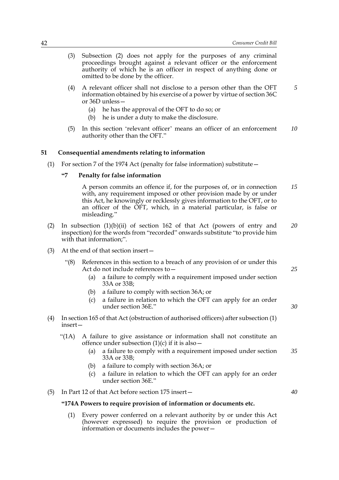- (3) Subsection (2) does not apply for the purposes of any criminal proceedings brought against a relevant officer or the enforcement authority of which he is an officer in respect of anything done or omitted to be done by the officer.
- (4) A relevant officer shall not disclose to a person other than the OFT information obtained by his exercise of a power by virtue of section 36C or 36D unless— *5*
	- (a) he has the approval of the OFT to do so; or
	- (b) he is under a duty to make the disclosure.
- (5) In this section 'relevant officer' means an officer of an enforcement authority other than the OFT." *10*

# **51 Consequential amendments relating to information**

(1) For section 7 of the 1974 Act (penalty for false information) substitute—

# **"7 Penalty for false information**

A person commits an offence if, for the purposes of, or in connection with, any requirement imposed or other provision made by or under this Act, he knowingly or recklessly gives information to the OFT, or to an officer of the OFT, which, in a material particular, is false or misleading." *15*

- (2) In subsection (1)(b)(ii) of section 162 of that Act (powers of entry and inspection) for the words from "recorded" onwards substitute "to provide him with that information;". *20*
- (3) At the end of that section insert—
	- "(8) References in this section to a breach of any provision of or under this Act do not include references to—
		- (a) a failure to comply with a requirement imposed under section 33A or 33B;
		- (b) a failure to comply with section 36A; or
		- (c) a failure in relation to which the OFT can apply for an order under section 36E."
- (4) In section 165 of that Act (obstruction of authorised officers) after subsection (1) insert—
	- "(1A) A failure to give assistance or information shall not constitute an offence under subsection  $(1)(c)$  if it is also –
		- (a) a failure to comply with a requirement imposed under section 33A or 33B; *35*
		- (b) a failure to comply with section 36A; or
		- (c) a failure in relation to which the OFT can apply for an order under section 36E."

# (5) In Part 12 of that Act before section 175 insert—

## **"174A Powers to require provision of information or documents etc.**

(1) Every power conferred on a relevant authority by or under this Act (however expressed) to require the provision or production of information or documents includes the power*25*

*30*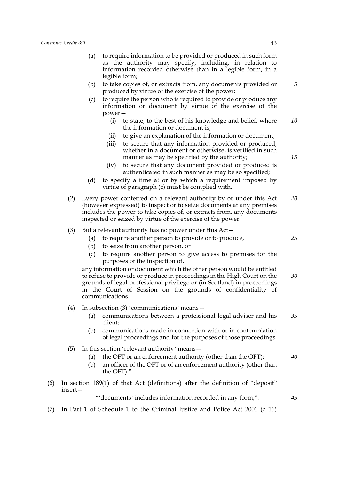- (a) to require information to be provided or produced in such form as the authority may specify, including, in relation to information recorded otherwise than in a legible form, in a legible form;
- (b) to take copies of, or extracts from, any documents provided or produced by virtue of the exercise of the power;
- (c) to require the person who is required to provide or produce any information or document by virtue of the exercise of the power—
	- (i) to state, to the best of his knowledge and belief, where the information or document is; *10*
	- (ii) to give an explanation of the information or document;
	- (iii) to secure that any information provided or produced, whether in a document or otherwise, is verified in such manner as may be specified by the authority;
	- (iv) to secure that any document provided or produced is authenticated in such manner as may be so specified;
- (d) to specify a time at or by which a requirement imposed by virtue of paragraph (c) must be complied with.
- (2) Every power conferred on a relevant authority by or under this Act (however expressed) to inspect or to seize documents at any premises includes the power to take copies of, or extracts from, any documents inspected or seized by virtue of the exercise of the power. *20*

#### (3) But a relevant authority has no power under this Act—

- (a) to require another person to provide or to produce,
	- (b) to seize from another person, or
	- (c) to require another person to give access to premises for the purposes of the inspection of,

any information or document which the other person would be entitled to refuse to provide or produce in proceedings in the High Court on the grounds of legal professional privilege or (in Scotland) in proceedings in the Court of Session on the grounds of confidentiality of communications. *30*

- (4) In subsection (3) 'communications' means—
	- (a) communications between a professional legal adviser and his client; *35*
	- (b) communications made in connection with or in contemplation of legal proceedings and for the purposes of those proceedings.
- (5) In this section 'relevant authority' means—
	- (a) the OFT or an enforcement authority (other than the OFT); *40*
	- (b) an officer of the OFT or of an enforcement authority (other than the OFT)."
- (6) In section 189(1) of that Act (definitions) after the definition of "deposit" insert—

"'documents' includes information recorded in any form;".

(7) In Part 1 of Schedule 1 to the Criminal Justice and Police Act 2001 (c. 16)

*5*

*15*

*25*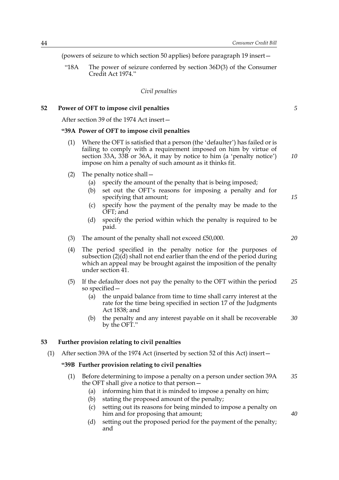(powers of seizure to which section 50 applies) before paragraph 19 insert—

"18A The power of seizure conferred by section 36D(3) of the Consumer Credit Act 1974."

*Civil penalties*

## **52 Power of OFT to impose civil penalties**

After section 39 of the 1974 Act insert—

## **"39A Power of OFT to impose civil penalties**

- (1) Where the OFT is satisfied that a person (the 'defaulter') has failed or is failing to comply with a requirement imposed on him by virtue of section 33A, 33B or 36A, it may by notice to him (a 'penalty notice') impose on him a penalty of such amount as it thinks fit.
- (2) The penalty notice shall—
	- (a) specify the amount of the penalty that is being imposed;
	- (b) set out the OFT's reasons for imposing a penalty and for specifying that amount;
	- (c) specify how the payment of the penalty may be made to the OFT; and
	- (d) specify the period within which the penalty is required to be paid.
- (3) The amount of the penalty shall not exceed £50,000.
- (4) The period specified in the penalty notice for the purposes of subsection  $(2)(d)$  shall not end earlier than the end of the period during which an appeal may be brought against the imposition of the penalty under section 41.
- (5) If the defaulter does not pay the penalty to the OFT within the period so specified— *25*
	- (a) the unpaid balance from time to time shall carry interest at the rate for the time being specified in section 17 of the Judgments Act 1838; and
	- (b) the penalty and any interest payable on it shall be recoverable by the OFT." *30*

#### **53 Further provision relating to civil penalties**

(1) After section 39A of the 1974 Act (inserted by section 52 of this Act) insert—

# **"39B Further provision relating to civil penalties**

- (1) Before determining to impose a penalty on a person under section 39A the OFT shall give a notice to that person— *35*
	- (a) informing him that it is minded to impose a penalty on him;
	- (b) stating the proposed amount of the penalty;
	- (c) setting out its reasons for being minded to impose a penalty on him and for proposing that amount;
	- (d) setting out the proposed period for the payment of the penalty; and

*15*

*5*

*10*

*20*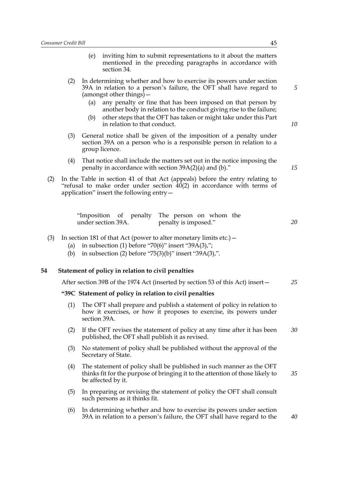- (e) inviting him to submit representations to it about the matters mentioned in the preceding paragraphs in accordance with section 34.
- (2) In determining whether and how to exercise its powers under section 39A in relation to a person's failure, the OFT shall have regard to (amongst other things)—
	- (a) any penalty or fine that has been imposed on that person by another body in relation to the conduct giving rise to the failure;
	- (b) other steps that the OFT has taken or might take under this Part in relation to that conduct.
- (3) General notice shall be given of the imposition of a penalty under section 39A on a person who is a responsible person in relation to a group licence.
- (4) That notice shall include the matters set out in the notice imposing the penalty in accordance with section 39A(2)(a) and (b)."
- (2) In the Table in section 41 of that Act (appeals) before the entry relating to "refusal to make order under section  $40(2)$  in accordance with terms of application" insert the following entry—

| "Imposition of penalty The person on whom the |  |                      |  |  |
|-----------------------------------------------|--|----------------------|--|--|
| under section 39A.                            |  | penalty is imposed." |  |  |

#### (3) In section 181 of that Act (power to alter monetary limits etc.)  $-$

- (a) in subsection (1) before "70(6)" insert "39A(3),";
- (b) in subsection (2) before "75(3)(b)" insert "39A(3),".

## **54 Statement of policy in relation to civil penalties**

After section 39B of the 1974 Act (inserted by section 53 of this Act) insert— *25*

## **"39C Statement of policy in relation to civil penalties**

- (1) The OFT shall prepare and publish a statement of policy in relation to how it exercises, or how it proposes to exercise, its powers under section 39A.
- (2) If the OFT revises the statement of policy at any time after it has been published, the OFT shall publish it as revised. *30*
- (3) No statement of policy shall be published without the approval of the Secretary of State.
- (4) The statement of policy shall be published in such manner as the OFT thinks fit for the purpose of bringing it to the attention of those likely to be affected by it. *35*
- (5) In preparing or revising the statement of policy the OFT shall consult such persons as it thinks fit.
- (6) In determining whether and how to exercise its powers under section 39A in relation to a person's failure, the OFT shall have regard to the

*15*

*5*

*10*

*20*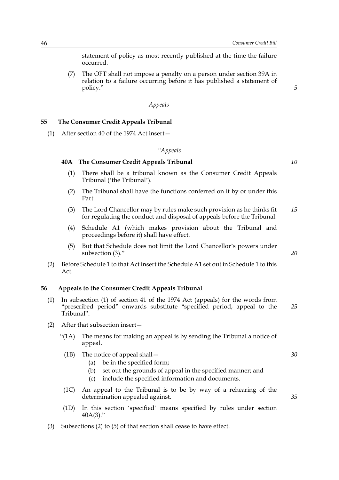statement of policy as most recently published at the time the failure occurred.

(7) The OFT shall not impose a penalty on a person under section 39A in relation to a failure occurring before it has published a statement of policy."

*Appeals*

## **55 The Consumer Credit Appeals Tribunal**

(1) After section 40 of the 1974 Act insert—

### *"Appeals*

#### **40A The Consumer Credit Appeals Tribunal**

- (1) There shall be a tribunal known as the Consumer Credit Appeals Tribunal ('the Tribunal').
- (2) The Tribunal shall have the functions conferred on it by or under this Part.
- (3) The Lord Chancellor may by rules make such provision as he thinks fit for regulating the conduct and disposal of appeals before the Tribunal. *15*
- (4) Schedule A1 (which makes provision about the Tribunal and proceedings before it) shall have effect.
- (5) But that Schedule does not limit the Lord Chancellor's powers under subsection (3)."
- (2) Before Schedule 1 to that Act insert the Schedule A1 set out in Schedule 1 to this Act.

## **56 Appeals to the Consumer Credit Appeals Tribunal**

- (1) In subsection (1) of section 41 of the 1974 Act (appeals) for the words from "prescribed period" onwards substitute "specified period, appeal to the Tribunal". *25*
- (2) After that subsection insert—
	- " $(1A)$  The means for making an appeal is by sending the Tribunal a notice of appeal.
		- (1B) The notice of appeal shall—
			- (a) be in the specified form;
			- (b) set out the grounds of appeal in the specified manner; and
			- (c) include the specified information and documents.
	- (1C) An appeal to the Tribunal is to be by way of a rehearing of the determination appealed against.
	- (1D) In this section 'specified' means specified by rules under section  $40A(3)$ ."
- (3) Subsections (2) to (5) of that section shall cease to have effect.

*10*

*5*

*30*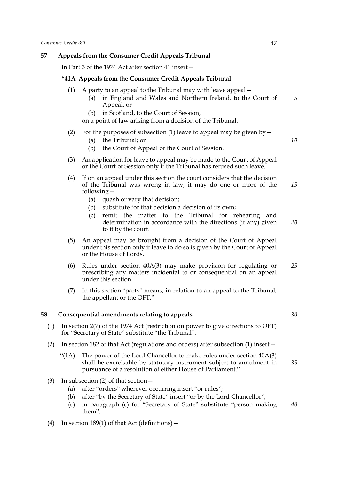## **57 Appeals from the Consumer Credit Appeals Tribunal**

In Part 3 of the 1974 Act after section 41 insert—

## **"41A Appeals from the Consumer Credit Appeals Tribunal**

- (1) A party to an appeal to the Tribunal may with leave appeal—
	- (a) in England and Wales and Northern Ireland, to the Court of Appeal, or
	- (b) in Scotland, to the Court of Session,

on a point of law arising from a decision of the Tribunal.

## (2) For the purposes of subsection (1) leave to appeal may be given by  $-$

- (a) the Tribunal; or
- (b) the Court of Appeal or the Court of Session.
- (3) An application for leave to appeal may be made to the Court of Appeal or the Court of Session only if the Tribunal has refused such leave.
- (4) If on an appeal under this section the court considers that the decision of the Tribunal was wrong in law, it may do one or more of the following— *15*
	- (a) quash or vary that decision;
	- (b) substitute for that decision a decision of its own;
	- (c) remit the matter to the Tribunal for rehearing and determination in accordance with the directions (if any) given to it by the court. *20*
- (5) An appeal may be brought from a decision of the Court of Appeal under this section only if leave to do so is given by the Court of Appeal or the House of Lords.
- (6) Rules under section 40A(3) may make provision for regulating or prescribing any matters incidental to or consequential on an appeal under this section. *25*
- (7) In this section 'party' means, in relation to an appeal to the Tribunal, the appellant or the OFT."

## **58 Consequential amendments relating to appeals**

- (1) In section 2(7) of the 1974 Act (restriction on power to give directions to OFT) for "Secretary of State" substitute "the Tribunal".
- (2) In section 182 of that Act (regulations and orders) after subsection (1) insert—
	- "(1A) The power of the Lord Chancellor to make rules under section  $40A(3)$ shall be exercisable by statutory instrument subject to annulment in pursuance of a resolution of either House of Parliament." *35*
- (3) In subsection (2) of that section—
	- (a) after "orders" wherever occurring insert "or rules";
	- (b) after "by the Secretary of State" insert "or by the Lord Chancellor";
	- (c) in paragraph (c) for "Secretary of State" substitute "person making them". *40*
- (4) In section  $189(1)$  of that Act (definitions) –

*5*

*10*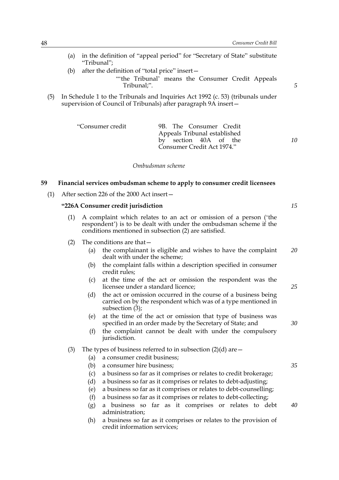- (a) in the definition of "appeal period" for "Secretary of State" substitute "Tribunal";
- (b) after the definition of "total price" insert—
	- "the Tribunal' means the Consumer Credit Appeals Tribunal;".
- (5) In Schedule 1 to the Tribunals and Inquiries Act 1992 (c. 53) (tribunals under supervision of Council of Tribunals) after paragraph 9A insert—

| "Consumer credit" | 9B. The Consumer Credit      |    |
|-------------------|------------------------------|----|
|                   | Appeals Tribunal established |    |
|                   | by section 40A of the        | 10 |
|                   | Consumer Credit Act 1974."   |    |

*Ombudsman scheme*

## **59 Financial services ombudsman scheme to apply to consumer credit licensees**

(1) After section 226 of the 2000 Act insert—

#### **"226A Consumer credit jurisdiction**

- (1) A complaint which relates to an act or omission of a person ('the respondent') is to be dealt with under the ombudsman scheme if the conditions mentioned in subsection (2) are satisfied.
- (2) The conditions are that—
	- (a) the complainant is eligible and wishes to have the complaint dealt with under the scheme; *20*
	- (b) the complaint falls within a description specified in consumer credit rules;
	- (c) at the time of the act or omission the respondent was the licensee under a standard licence;
	- (d) the act or omission occurred in the course of a business being carried on by the respondent which was of a type mentioned in subsection (3);
	- (e) at the time of the act or omission that type of business was specified in an order made by the Secretary of State; and
	- (f) the complaint cannot be dealt with under the compulsory jurisdiction.
- (3) The types of business referred to in subsection  $(2)(d)$  are  $-$ 
	- (a) a consumer credit business;
	- (b) a consumer hire business;
	- (c) a business so far as it comprises or relates to credit brokerage;
	- (d) a business so far as it comprises or relates to debt-adjusting;
	- (e) a business so far as it comprises or relates to debt-counselling;
	- (f) a business so far as it comprises or relates to debt-collecting;
	- (g) a business so far as it comprises or relates to debt administration; *40*
	- (h) a business so far as it comprises or relates to the provision of credit information services;

*15*

*5*

- 
- *25*

*30*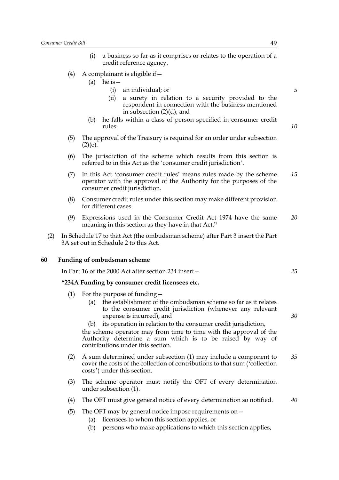- (i) a business so far as it comprises or relates to the operation of a credit reference agency.
- (4) A complainant is eligible if  $-$ 
	- (a) he is  $-$ 
		- (i) an individual; or
		- (ii) a surety in relation to a security provided to the respondent in connection with the business mentioned in subsection (2)(d); and
	- (b) he falls within a class of person specified in consumer credit rules.
- (5) The approval of the Treasury is required for an order under subsection  $(2)(e)$ .
- (6) The jurisdiction of the scheme which results from this section is referred to in this Act as the 'consumer credit jurisdiction'.
- (7) In this Act 'consumer credit rules' means rules made by the scheme operator with the approval of the Authority for the purposes of the consumer credit jurisdiction. *15*
- (8) Consumer credit rules under this section may make different provision for different cases.
- (9) Expressions used in the Consumer Credit Act 1974 have the same meaning in this section as they have in that Act." *20*
- (2) In Schedule 17 to that Act (the ombudsman scheme) after Part 3 insert the Part 3A set out in Schedule 2 to this Act.

## **60 Funding of ombudsman scheme**

In Part 16 of the 2000 Act after section 234 insert—

#### **"234A Funding by consumer credit licensees etc.**

- (1) For the purpose of funding—
	- (a) the establishment of the ombudsman scheme so far as it relates to the consumer credit jurisdiction (whenever any relevant expense is incurred), and
	- (b) its operation in relation to the consumer credit jurisdiction,

the scheme operator may from time to time with the approval of the Authority determine a sum which is to be raised by way of contributions under this section.

- (2) A sum determined under subsection (1) may include a component to cover the costs of the collection of contributions to that sum ('collection costs') under this section. *35*
- (3) The scheme operator must notify the OFT of every determination under subsection (1).
- (4) The OFT must give general notice of every determination so notified. *40*
- (5) The OFT may by general notice impose requirements on—
	- (a) licensees to whom this section applies, or
	- (b) persons who make applications to which this section applies,

*5*

*10*

*25*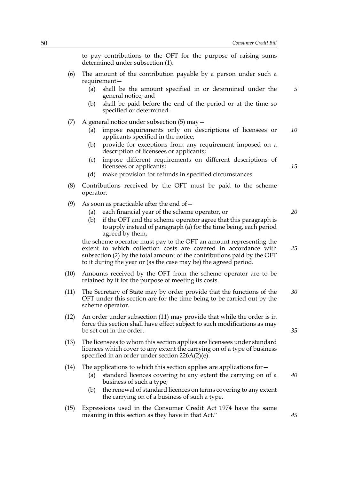*5*

*15*

*20*

*25*

*35*

to pay contributions to the OFT for the purpose of raising sums determined under subsection (1).

- (6) The amount of the contribution payable by a person under such a requirement—
	- (a) shall be the amount specified in or determined under the general notice; and
	- (b) shall be paid before the end of the period or at the time so specified or determined.
- (7) A general notice under subsection (5) may—
	- (a) impose requirements only on descriptions of licensees or applicants specified in the notice; *10*
	- (b) provide for exceptions from any requirement imposed on a description of licensees or applicants;
	- (c) impose different requirements on different descriptions of licensees or applicants;
	- (d) make provision for refunds in specified circumstances.
- (8) Contributions received by the OFT must be paid to the scheme operator.
- (9) As soon as practicable after the end of  $-$ 
	- (a) each financial year of the scheme operator, or
	- (b) if the OFT and the scheme operator agree that this paragraph is to apply instead of paragraph (a) for the time being, each period agreed by them,

the scheme operator must pay to the OFT an amount representing the extent to which collection costs are covered in accordance with subsection (2) by the total amount of the contributions paid by the OFT to it during the year or (as the case may be) the agreed period.

- (10) Amounts received by the OFT from the scheme operator are to be retained by it for the purpose of meeting its costs.
- (11) The Secretary of State may by order provide that the functions of the OFT under this section are for the time being to be carried out by the scheme operator. *30*
- (12) An order under subsection (11) may provide that while the order is in force this section shall have effect subject to such modifications as may be set out in the order.
- (13) The licensees to whom this section applies are licensees under standard licences which cover to any extent the carrying on of a type of business specified in an order under section 226A(2)(e).
- (14) The applications to which this section applies are applications for—
	- (a) standard licences covering to any extent the carrying on of a business of such a type; *40*
	- (b) the renewal of standard licences on terms covering to any extent the carrying on of a business of such a type.
- (15) Expressions used in the Consumer Credit Act 1974 have the same meaning in this section as they have in that Act."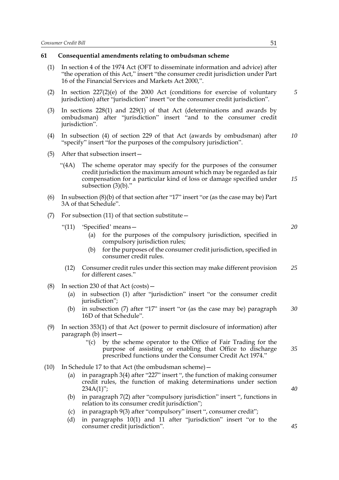#### **61 Consequential amendments relating to ombudsman scheme**

- (1) In section 4 of the 1974 Act (OFT to disseminate information and advice) after "the operation of this Act," insert "the consumer credit jurisdiction under Part 16 of the Financial Services and Markets Act 2000,".
- (2) In section 227(2)(e) of the 2000 Act (conditions for exercise of voluntary jurisdiction) after "jurisdiction" insert "or the consumer credit jurisdiction".
- (3) In sections 228(1) and 229(1) of that Act (determinations and awards by ombudsman) after "jurisdiction" insert "and to the consumer credit jurisdiction".
- (4) In subsection (4) of section 229 of that Act (awards by ombudsman) after "specify" insert "for the purposes of the compulsory jurisdiction". *10*
- (5) After that subsection insert—
	- "(4A) The scheme operator may specify for the purposes of the consumer credit jurisdiction the maximum amount which may be regarded as fair compensation for a particular kind of loss or damage specified under subsection (3)(b)." *15*
- (6) In subsection (8)(b) of that section after "17" insert "or (as the case may be) Part 3A of that Schedule".
- (7) For subsection (11) of that section substitute  $-$ 
	- "(11) 'Specified' means—

(a) for the purposes of the compulsory jurisdiction, specified in compulsory jurisdiction rules;

- (b) for the purposes of the consumer credit jurisdiction, specified in consumer credit rules.
- (12) Consumer credit rules under this section may make different provision for different cases." *25*
- (8) In section 230 of that Act (costs)—
	- (a) in subsection (1) after "jurisdiction" insert "or the consumer credit jurisdiction";
	- (b) in subsection (7) after "17" insert "or (as the case may be) paragraph 16D of that Schedule". *30*
- (9) In section 353(1) of that Act (power to permit disclosure of information) after paragraph (b) insert—
	- "(c) by the scheme operator to the Office of Fair Trading for the purpose of assisting or enabling that Office to discharge prescribed functions under the Consumer Credit Act 1974."
- (10) In Schedule 17 to that Act (the ombudsman scheme)—
	- (a) in paragraph 3(4) after "227" insert ", the function of making consumer credit rules, the function of making determinations under section  $234A(1)$ ";
	- (b) in paragraph 7(2) after "compulsory jurisdiction" insert ", functions in relation to its consumer credit jurisdiction";
	- (c) in paragraph 9(3) after "compulsory" insert ", consumer credit";
	- (d) in paragraphs 10(1) and 11 after "jurisdiction" insert "or to the consumer credit jurisdiction".

*5*

*20*

*35*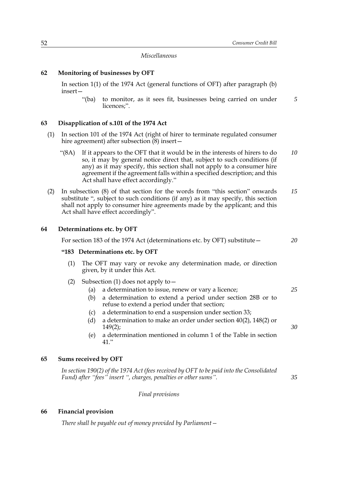*Miscellaneous*

## **62 Monitoring of businesses by OFT**

In section 1(1) of the 1974 Act (general functions of OFT) after paragraph (b) insert—

"(ba) to monitor, as it sees fit, businesses being carried on under licences;". *5*

# **63 Disapplication of s.101 of the 1974 Act**

- (1) In section 101 of the 1974 Act (right of hirer to terminate regulated consumer hire agreement) after subsection  $(8)$  insert –
	- "(8A) If it appears to the OFT that it would be in the interests of hirers to do so, it may by general notice direct that, subject to such conditions (if any) as it may specify, this section shall not apply to a consumer hire agreement if the agreement falls within a specified description; and this Act shall have effect accordingly." *10*
- (2) In subsection (8) of that section for the words from "this section" onwards substitute ", subject to such conditions (if any) as it may specify, this section shall not apply to consumer hire agreements made by the applicant; and this Act shall have effect accordingly". *15*

## **64 Determinations etc. by OFT**

For section 183 of the 1974 Act (determinations etc. by OFT) substitute—

#### **"183 Determinations etc. by OFT**

- (1) The OFT may vary or revoke any determination made, or direction given, by it under this Act.
- (2) Subsection (1) does not apply to—
	- (a) a determination to issue, renew or vary a licence;
	- (b) a determination to extend a period under section 28B or to refuse to extend a period under that section;
	- (c) a determination to end a suspension under section 33;
	- (d) a determination to make an order under section 40(2), 148(2) or 149(2);
	- (e) a determination mentioned in column 1 of the Table in section 41."

# **65 Sums received by OFT**

*In section 190(2) of the 1974 Act (fees received by OFT to be paid into the Consolidated Fund) after "fees" insert ", charges, penalties or other sums". 35*

*Final provisions*

#### **66 Financial provision**

*There shall be payable out of money provided by Parliament—*

*20*

*25*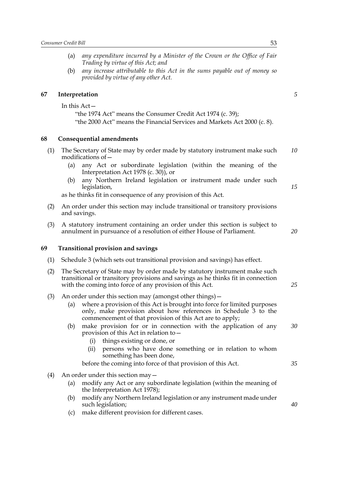- (a) *any expenditure incurred by a Minister of the Crown or the Office of Fair Trading by virtue of this Act; and*
- (b) *any increase attributable to this Act in the sums payable out of money so provided by virtue of any other Act.*

## **67 Interpretation**

In this Act—

"the 1974 Act" means the Consumer Credit Act 1974 (c. 39); "the 2000 Act" means the Financial Services and Markets Act 2000 (c. 8).

#### **68 Consequential amendments**

- (1) The Secretary of State may by order made by statutory instrument make such modifications of— *10*
	- (a) any Act or subordinate legislation (within the meaning of the Interpretation Act 1978 (c. 30)), or
	- (b) any Northern Ireland legislation or instrument made under such legislation,

as he thinks fit in consequence of any provision of this Act.

- (2) An order under this section may include transitional or transitory provisions and savings.
- (3) A statutory instrument containing an order under this section is subject to annulment in pursuance of a resolution of either House of Parliament.

# **69 Transitional provision and savings**

- (1) Schedule 3 (which sets out transitional provision and savings) has effect.
- (2) The Secretary of State may by order made by statutory instrument make such transitional or transitory provisions and savings as he thinks fit in connection with the coming into force of any provision of this Act.
- (3) An order under this section may (amongst other things)—
	- (a) where a provision of this Act is brought into force for limited purposes only, make provision about how references in Schedule 3 to the commencement of that provision of this Act are to apply;
	- (b) make provision for or in connection with the application of any provision of this Act in relation to— *30*
		- (i) things existing or done, or
		- (ii) persons who have done something or in relation to whom something has been done,

before the coming into force of that provision of this Act.

- (4) An order under this section may—
	- (a) modify any Act or any subordinate legislation (within the meaning of the Interpretation Act 1978);
	- (b) modify any Northern Ireland legislation or any instrument made under such legislation;
	- (c) make different provision for different cases.

*5*

*15*

*20*

*25*

*35*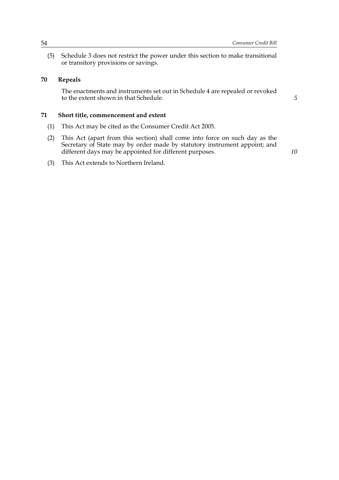*5*

*10*

(5) Schedule 3 does not restrict the power under this section to make transitional or transitory provisions or savings.

# **70 Repeals**

The enactments and instruments set out in Schedule 4 are repealed or revoked to the extent shown in that Schedule.

# **71 Short title, commencement and extent**

- (1) This Act may be cited as the Consumer Credit Act 2005.
- (2) This Act (apart from this section) shall come into force on such day as the Secretary of State may by order made by statutory instrument appoint; and different days may be appointed for different purposes.
- (3) This Act extends to Northern Ireland.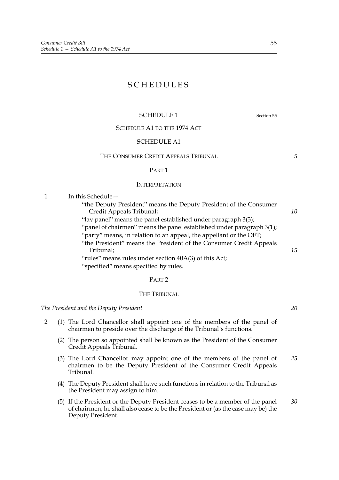# SCHEDULES

# SCHEDULE 1 Section 55

# SCHEDULE A1 TO THE 1974 ACT

# SCHEDULE A1

## THE CONSUMER CREDIT APPEALS TRIBUNAL

## PART 1

## INTERPRETATION

1 In this Schedule -

| "the Deputy President" means the Deputy President of the Consumer     |    |
|-----------------------------------------------------------------------|----|
| Credit Appeals Tribunal;                                              | 10 |
| "lay panel" means the panel established under paragraph 3(3);         |    |
| "panel of chairmen" means the panel established under paragraph 3(1); |    |
| "party" means, in relation to an appeal, the appellant or the OFT;    |    |
| "the President" means the President of the Consumer Credit Appeals    |    |
| Tribunal;                                                             | 15 |
| "rules" means rules under section 40A(3) of this Act;                 |    |
| "specified" means specified by rules.                                 |    |
|                                                                       |    |

# PART 2

#### THE TRIBUNAL

*The President and the Deputy President*

- 2 (1) The Lord Chancellor shall appoint one of the members of the panel of chairmen to preside over the discharge of the Tribunal's functions.
	- (2) The person so appointed shall be known as the President of the Consumer Credit Appeals Tribunal.
	- (3) The Lord Chancellor may appoint one of the members of the panel of chairmen to be the Deputy President of the Consumer Credit Appeals Tribunal. *25*
	- (4) The Deputy President shall have such functions in relation to the Tribunal as the President may assign to him.
	- (5) If the President or the Deputy President ceases to be a member of the panel of chairmen, he shall also cease to be the President or (as the case may be) the Deputy President. *30*

*20*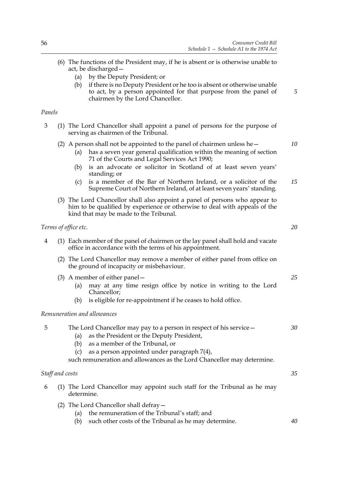- (6) The functions of the President may, if he is absent or is otherwise unable to act, be discharged—
	- (a) by the Deputy President; or
	- (b) if there is no Deputy President or he too is absent or otherwise unable to act, by a person appointed for that purpose from the panel of chairmen by the Lord Chancellor.

# *Panels*

- 3 (1) The Lord Chancellor shall appoint a panel of persons for the purpose of serving as chairmen of the Tribunal.
	- (2) A person shall not be appointed to the panel of chairmen unless he $-$ 
		- (a) has a seven year general qualification within the meaning of section 71 of the Courts and Legal Services Act 1990;
		- (b) is an advocate or solicitor in Scotland of at least seven years' standing; or
		- (c) is a member of the Bar of Northern Ireland, or a solicitor of the Supreme Court of Northern Ireland, of at least seven years' standing. *15*
	- (3) The Lord Chancellor shall also appoint a panel of persons who appear to him to be qualified by experience or otherwise to deal with appeals of the kind that may be made to the Tribunal.

# *Terms of office etc.*

- 4 (1) Each member of the panel of chairmen or the lay panel shall hold and vacate office in accordance with the terms of his appointment.
	- (2) The Lord Chancellor may remove a member of either panel from office on the ground of incapacity or misbehaviour.
	- (3) A member of either panel—
		- (a) may at any time resign office by notice in writing to the Lord Chancellor;
		- (b) is eligible for re-appointment if he ceases to hold office.

## *Remuneration and allowances*

# 5 The Lord Chancellor may pay to a person in respect of his service—

- (a) as the President or the Deputy President,
- (b) as a member of the Tribunal, or
- (c) as a person appointed under paragraph 7(4),

such remuneration and allowances as the Lord Chancellor may determine.

# *Staff and costs*

- 6 (1) The Lord Chancellor may appoint such staff for the Tribunal as he may determine.
	- (2) The Lord Chancellor shall defray—
		- (a) the remuneration of the Tribunal's staff; and
		- (b) such other costs of the Tribunal as he may determine.

*20*

*5*

*10*

*25*

*30*

*35*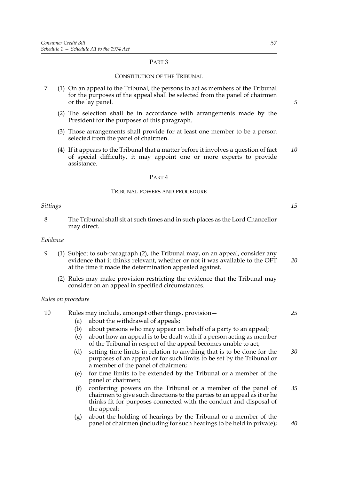# PART 3

## CONSTITUTION OF THE TRIBUNAL

- 7 (1) On an appeal to the Tribunal, the persons to act as members of the Tribunal for the purposes of the appeal shall be selected from the panel of chairmen or the lay panel.
	- (2) The selection shall be in accordance with arrangements made by the President for the purposes of this paragraph.
	- (3) Those arrangements shall provide for at least one member to be a person selected from the panel of chairmen.
	- (4) If it appears to the Tribunal that a matter before it involves a question of fact of special difficulty, it may appoint one or more experts to provide assistance. *10*

#### PART 4

#### TRIBUNAL POWERS AND PROCEDURE

#### *Sittings*

8 The Tribunal shall sit at such times and in such places as the Lord Chancellor may direct.

## *Evidence*

- 9 (1) Subject to sub-paragraph (2), the Tribunal may, on an appeal, consider any evidence that it thinks relevant, whether or not it was available to the OFT at the time it made the determination appealed against. *20*
	- (2) Rules may make provision restricting the evidence that the Tribunal may consider on an appeal in specified circumstances.

#### *Rules on procedure*

| 10 | Rules may include, amongst other things, provision- |                                                                                                                                                                                       |    |  |
|----|-----------------------------------------------------|---------------------------------------------------------------------------------------------------------------------------------------------------------------------------------------|----|--|
|    | (a)                                                 | about the withdrawal of appeals;                                                                                                                                                      |    |  |
|    | (b)                                                 | about persons who may appear on behalf of a party to an appeal;                                                                                                                       |    |  |
|    | (C)                                                 | about how an appeal is to be dealt with if a person acting as member<br>of the Tribunal in respect of the appeal becomes unable to act;                                               |    |  |
|    | (d)                                                 | setting time limits in relation to anything that is to be done for the<br>purposes of an appeal or for such limits to be set by the Tribunal or<br>a member of the panel of chairmen; | 30 |  |

- (e) for time limits to be extended by the Tribunal or a member of the panel of chairmen;
- (f) conferring powers on the Tribunal or a member of the panel of chairmen to give such directions to the parties to an appeal as it or he thinks fit for purposes connected with the conduct and disposal of the appeal; *35*
- (g) about the holding of hearings by the Tribunal or a member of the panel of chairmen (including for such hearings to be held in private);

*5*

*40*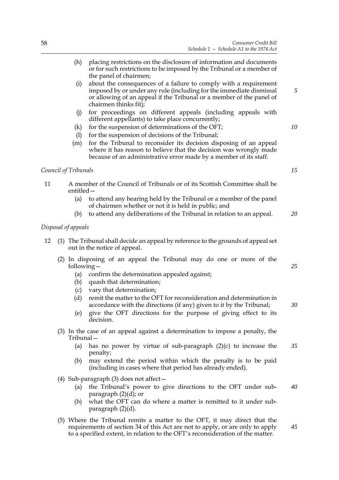(h) placing restrictions on the disclosure of information and documents or for such restrictions to be imposed by the Tribunal or a member of the panel of chairmen; (i) about the consequences of a failure to comply with a requirement imposed by or under any rule (including for the immediate dismissal or allowing of an appeal if the Tribunal or a member of the panel of chairmen thinks fit); (j) for proceedings on different appeals (including appeals with different appellants) to take place concurrently;  $(k)$  for the suspension of determinations of the OFT; (l) for the suspension of decisions of the Tribunal; (m) for the Tribunal to reconsider its decision disposing of an appeal where it has reason to believe that the decision was wrongly made because of an administrative error made by a member of its staff.

# *Council of Tribunals*

- 11 A member of the Council of Tribunals or of its Scottish Committee shall be entitled—
	- (a) to attend any hearing held by the Tribunal or a member of the panel of chairmen whether or not it is held in public; and
	- (b) to attend any deliberations of the Tribunal in relation to an appeal. *20*

# *Disposal of appeals*

- 12 (1) The Tribunal shall decide an appeal by reference to the grounds of appeal set out in the notice of appeal.
	- (2) In disposing of an appeal the Tribunal may do one or more of the following—
		- (a) confirm the determination appealed against;
		- (b) quash that determination;
		- (c) vary that determination;
		- (d) remit the matter to the OFT for reconsideration and determination in accordance with the directions (if any) given to it by the Tribunal;
		- (e) give the OFT directions for the purpose of giving effect to its decision.
	- (3) In the case of an appeal against a determination to impose a penalty, the Tribunal—
		- (a) has no power by virtue of sub-paragraph  $(2)(c)$  to increase the penalty; *35*
		- (b) may extend the period within which the penalty is to be paid (including in cases where that period has already ended).
	- (4) Sub-paragraph (3) does not affect—
		- (a) the Tribunal's power to give directions to the OFT under subparagraph  $(2)(d)$ ; or *40*
		- (b) what the OFT can do where a matter is remitted to it under subparagraph (2)(d).
	- (5) Where the Tribunal remits a matter to the OFT, it may direct that the requirements of section 34 of this Act are not to apply, or are only to apply to a specified extent, in relation to the OFT's reconsideration of the matter.

*15*

*5*

*10*



*30*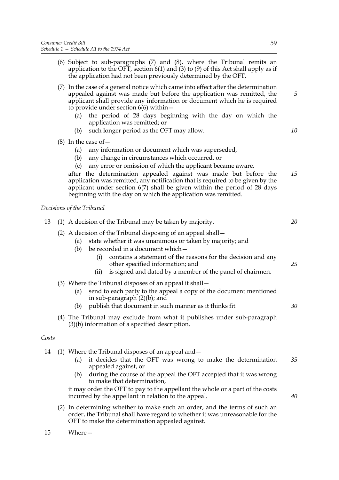- (6) Subject to sub-paragraphs (7) and (8), where the Tribunal remits an application to the OFT, section 6(1) and (3) to (9) of this Act shall apply as if the application had not been previously determined by the OFT.
- (7) In the case of a general notice which came into effect after the determination appealed against was made but before the application was remitted, the applicant shall provide any information or document which he is required to provide under section  $6(6)$  within  $-$ 
	- (a) the period of 28 days beginning with the day on which the application was remitted; or
	- (b) such longer period as the OFT may allow.
- (8) In the case of  $-$ 
	- (a) any information or document which was superseded,
	- (b) any change in circumstances which occurred, or
	- (c) any error or omission of which the applicant became aware,

after the determination appealed against was made but before the application was remitted, any notification that is required to be given by the applicant under section 6(7) shall be given within the period of 28 days beginning with the day on which the application was remitted. *15*

*Decisions of the Tribunal*

| 13    | (1) A decision of the Tribunal may be taken by majority.                                                                                                                                                                                                                                                                                                      |    |  |  |  |
|-------|---------------------------------------------------------------------------------------------------------------------------------------------------------------------------------------------------------------------------------------------------------------------------------------------------------------------------------------------------------------|----|--|--|--|
|       | (2) A decision of the Tribunal disposing of an appeal shall $-$<br>state whether it was unanimous or taken by majority; and<br>(a)<br>be recorded in a document which -<br>(b)<br>contains a statement of the reasons for the decision and any<br>(1)<br>other specified information; and<br>is signed and dated by a member of the panel of chairmen.<br>(i) | 25 |  |  |  |
|       | $(3)$ Where the Tribunal disposes of an appeal it shall $-$<br>send to each party to the appeal a copy of the document mentioned<br>(a)<br>in sub-paragraph $(2)(b)$ ; and<br>publish that document in such manner as it thinks fit.<br>(b)                                                                                                                   | 30 |  |  |  |
|       | (4) The Tribunal may exclude from what it publishes under sub-paragraph<br>$(3)(b)$ information of a specified description.                                                                                                                                                                                                                                   |    |  |  |  |
| Costs |                                                                                                                                                                                                                                                                                                                                                               |    |  |  |  |
| 14    | (1) Where the Tribunal disposes of an appeal and $-$<br>it decides that the OFT was wrong to make the determination<br>(a)<br>appealed against, or<br>during the course of the appeal the OFT accepted that it was wrong<br>(b)                                                                                                                               | 35 |  |  |  |

(b) during the course of the appeal the OFT accepted that it was wrong to make that determination,

it may order the OFT to pay to the appellant the whole or a part of the costs incurred by the appellant in relation to the appeal.

(2) In determining whether to make such an order, and the terms of such an order, the Tribunal shall have regard to whether it was unreasonable for the OFT to make the determination appealed against.

15 Where—

*5*

*10*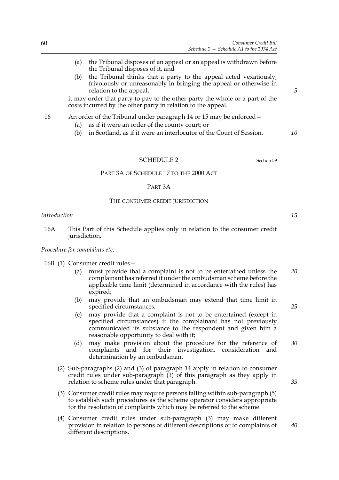- (a) the Tribunal disposes of an appeal or an appeal is withdrawn before the Tribunal disposes of it, and
- (b) the Tribunal thinks that a party to the appeal acted vexatiously, frivolously or unreasonably in bringing the appeal or otherwise in relation to the appeal,

it may order that party to pay to the other party the whole or a part of the costs incurred by the other party in relation to the appeal.

## 16 An order of the Tribunal under paragraph 14 or 15 may be enforced—

- (a) as if it were an order of the county court; or
- (b) in Scotland, as if it were an interlocutor of the Court of Session.

## SCHEDULE 2 Section 59

# PART 3A OF SCHEDULE 17 TO THE 2000 ACT

#### PART 3A

#### THE CONSUMER CREDIT JURISDICTION

## *Introduction*

16A This Part of this Schedule applies only in relation to the consumer credit jurisdiction.

## *Procedure for complaints etc.*

- 16B (1) Consumer credit rules—
	- (a) must provide that a complaint is not to be entertained unless the complainant has referred it under the ombudsman scheme before the applicable time limit (determined in accordance with the rules) has expired; *20*
	- (b) may provide that an ombudsman may extend that time limit in specified circumstances;
	- (c) may provide that a complaint is not to be entertained (except in specified circumstances) if the complainant has not previously communicated its substance to the respondent and given him a reasonable opportunity to deal with it;
	- (d) may make provision about the procedure for the reference of complaints and for their investigation, consideration and determination by an ombudsman. *30*
	- (2) Sub-paragraphs (2) and (3) of paragraph 14 apply in relation to consumer credit rules under sub-paragraph (1) of this paragraph as they apply in relation to scheme rules under that paragraph.
	- (3) Consumer credit rules may require persons falling within sub-paragraph (5) to establish such procedures as the scheme operator considers appropriate for the resolution of complaints which may be referred to the scheme.
	- (4) Consumer credit rules under sub-paragraph (3) may make different provision in relation to persons of different descriptions or to complaints of different descriptions. *40*

*15*

*5*

*10*

*25*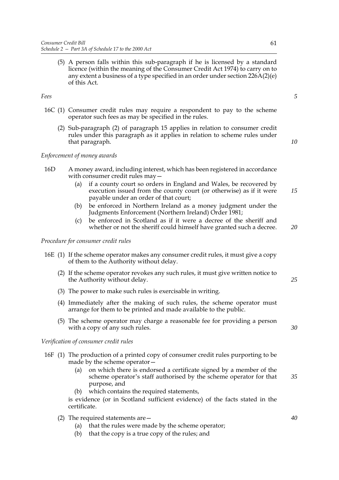(5) A person falls within this sub-paragraph if he is licensed by a standard licence (within the meaning of the Consumer Credit Act 1974) to carry on to any extent a business of a type specified in an order under section 226A(2)(e) of this Act.

# *Fees*

- 16C (1) Consumer credit rules may require a respondent to pay to the scheme operator such fees as may be specified in the rules.
	- (2) Sub-paragraph (2) of paragraph 15 applies in relation to consumer credit rules under this paragraph as it applies in relation to scheme rules under that paragraph.

## *Enforcement of money awards*

- 16D A money award, including interest, which has been registered in accordance with consumer credit rules may—
	- (a) if a county court so orders in England and Wales, be recovered by execution issued from the county court (or otherwise) as if it were payable under an order of that court; *15*
	- (b) be enforced in Northern Ireland as a money judgment under the Judgments Enforcement (Northern Ireland) Order 1981;
	- (c) be enforced in Scotland as if it were a decree of the sheriff and whether or not the sheriff could himself have granted such a decree.

## *Procedure for consumer credit rules*

- 16E (1) If the scheme operator makes any consumer credit rules, it must give a copy of them to the Authority without delay.
	- (2) If the scheme operator revokes any such rules, it must give written notice to the Authority without delay.
	- (3) The power to make such rules is exercisable in writing.
	- (4) Immediately after the making of such rules, the scheme operator must arrange for them to be printed and made available to the public.
	- (5) The scheme operator may charge a reasonable fee for providing a person with a copy of any such rules.

## *Verification of consumer credit rules*

- 16F (1) The production of a printed copy of consumer credit rules purporting to be made by the scheme operator—
	- (a) on which there is endorsed a certificate signed by a member of the scheme operator's staff authorised by the scheme operator for that purpose, and *35*
	- (b) which contains the required statements,

is evidence (or in Scotland sufficient evidence) of the facts stated in the certificate.

- (2) The required statements are—
	- (a) that the rules were made by the scheme operator;
	- (b) that the copy is a true copy of the rules; and

*5*

*10*

*20*

*25*

*30*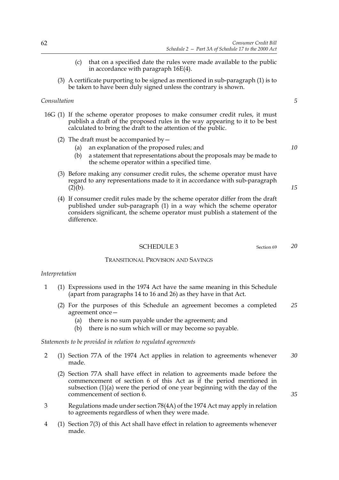- (c) that on a specified date the rules were made available to the public in accordance with paragraph 16E(4).
- (3) A certificate purporting to be signed as mentioned in sub-paragraph (1) is to be taken to have been duly signed unless the contrary is shown.

## *Consultation*

- 16G (1) If the scheme operator proposes to make consumer credit rules, it must publish a draft of the proposed rules in the way appearing to it to be best calculated to bring the draft to the attention of the public.
	- (2) The draft must be accompanied by  $-$ 
		- (a) an explanation of the proposed rules; and
		- (b) a statement that representations about the proposals may be made to the scheme operator within a specified time.
	- (3) Before making any consumer credit rules, the scheme operator must have regard to any representations made to it in accordance with sub-paragraph  $(2)(b).$
	- (4) If consumer credit rules made by the scheme operator differ from the draft published under sub-paragraph (1) in a way which the scheme operator considers significant, the scheme operator must publish a statement of the difference.

# SCHEDULE 3 Section 69

## TRANSITIONAL PROVISION AND SAVINGS

## *Interpretation*

- 1 (1) Expressions used in the 1974 Act have the same meaning in this Schedule (apart from paragraphs 14 to 16 and 26) as they have in that Act.
	- (2) For the purposes of this Schedule an agreement becomes a completed agreement once— *25*
		- (a) there is no sum payable under the agreement; and
		- (b) there is no sum which will or may become so payable.

## *Statements to be provided in relation to regulated agreements*

- 2 (1) Section 77A of the 1974 Act applies in relation to agreements whenever made. *30*
	- (2) Section 77A shall have effect in relation to agreements made before the commencement of section 6 of this Act as if the period mentioned in subsection (1)(a) were the period of one year beginning with the day of the commencement of section 6.
- 3 Regulations made under section 78(4A) of the 1974 Act may apply in relation to agreements regardless of when they were made.
- 4 (1) Section 7(3) of this Act shall have effect in relation to agreements whenever made.

*10*

*5*

*15*

*20*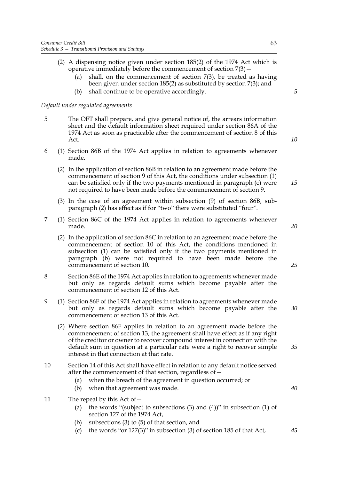- (2) A dispensing notice given under section 185(2) of the 1974 Act which is operative immediately before the commencement of section 7(3)—
	- (a) shall, on the commencement of section 7(3), be treated as having been given under section 185(2) as substituted by section 7(3); and
	- (b) shall continue to be operative accordingly.

# *Default under regulated agreements*

- 5 The OFT shall prepare, and give general notice of, the arrears information sheet and the default information sheet required under section 86A of the 1974 Act as soon as practicable after the commencement of section 8 of this Act.
- 6 (1) Section 86B of the 1974 Act applies in relation to agreements whenever made.
	- (2) In the application of section 86B in relation to an agreement made before the commencement of section 9 of this Act, the conditions under subsection (1) can be satisfied only if the two payments mentioned in paragraph (c) were not required to have been made before the commencement of section 9.
	- (3) In the case of an agreement within subsection (9) of section 86B, subparagraph (2) has effect as if for "two" there were substituted "four".
- 7 (1) Section 86C of the 1974 Act applies in relation to agreements whenever made.
	- (2) In the application of section 86C in relation to an agreement made before the commencement of section 10 of this Act, the conditions mentioned in subsection (1) can be satisfied only if the two payments mentioned in paragraph (b) were not required to have been made before the commencement of section 10.
- 8 Section 86E of the 1974 Act applies in relation to agreements whenever made but only as regards default sums which become payable after the commencement of section 12 of this Act.
- 9 (1) Section 86F of the 1974 Act applies in relation to agreements whenever made but only as regards default sums which become payable after the commencement of section 13 of this Act.
	- (2) Where section 86F applies in relation to an agreement made before the commencement of section 13, the agreement shall have effect as if any right of the creditor or owner to recover compound interest in connection with the default sum in question at a particular rate were a right to recover simple interest in that connection at that rate.
- 10 Section 14 of this Act shall have effect in relation to any default notice served after the commencement of that section, regardless of—
	- (a) when the breach of the agreement in question occurred; or
	- (b) when that agreement was made.
- 11 The repeal by this Act of—
	- (a) the words "(subject to subsections (3) and (4))" in subsection (1) of section 127 of the 1974 Act,
	- (b) subsections (3) to (5) of that section, and
	- (c) the words "or 127(3)" in subsection (3) of section 185 of that Act,

*5*

*10*

*15*

*20*

*25*

*35*

*30*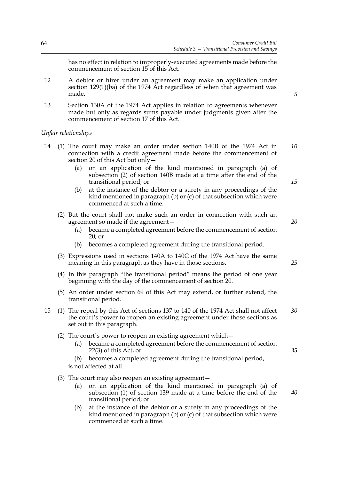*5*

*15*

*20*

*25*

*35*

*40*

has no effect in relation to improperly-executed agreements made before the commencement of section 15 of this Act.

- 12 A debtor or hirer under an agreement may make an application under section 129(1)(ba) of the 1974 Act regardless of when that agreement was made.
- 13 Section 130A of the 1974 Act applies in relation to agreements whenever made but only as regards sums payable under judgments given after the commencement of section 17 of this Act.

*Unfair relationships*

- 14 (1) The court may make an order under section 140B of the 1974 Act in connection with a credit agreement made before the commencement of section 20 of this Act but only— *10*
	- (a) on an application of the kind mentioned in paragraph (a) of subsection (2) of section 140B made at a time after the end of the transitional period; or
	- (b) at the instance of the debtor or a surety in any proceedings of the kind mentioned in paragraph (b) or (c) of that subsection which were commenced at such a time.
	- (2) But the court shall not make such an order in connection with such an agreement so made if the agreement—
		- (a) became a completed agreement before the commencement of section 20; or
		- (b) becomes a completed agreement during the transitional period.
	- (3) Expressions used in sections 140A to 140C of the 1974 Act have the same meaning in this paragraph as they have in those sections.
	- (4) In this paragraph "the transitional period" means the period of one year beginning with the day of the commencement of section 20.
	- (5) An order under section 69 of this Act may extend, or further extend, the transitional period.
- 15 (1) The repeal by this Act of sections 137 to 140 of the 1974 Act shall not affect the court's power to reopen an existing agreement under those sections as set out in this paragraph. *30*
	- (2) The court's power to reopen an existing agreement which—
		- (a) became a completed agreement before the commencement of section 22(3) of this Act, or
		- (b) becomes a completed agreement during the transitional period,
		- is not affected at all.
	- (3) The court may also reopen an existing agreement—
		- (a) on an application of the kind mentioned in paragraph (a) of subsection (1) of section 139 made at a time before the end of the transitional period; or
		- (b) at the instance of the debtor or a surety in any proceedings of the kind mentioned in paragraph (b) or (c) of that subsection which were commenced at such a time.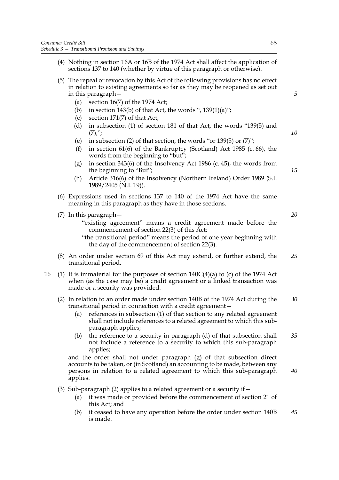- (4) Nothing in section 16A or 16B of the 1974 Act shall affect the application of sections 137 to 140 (whether by virtue of this paragraph or otherwise).
- (5) The repeal or revocation by this Act of the following provisions has no effect in relation to existing agreements so far as they may be reopened as set out in this paragraph—
	- (a) section 16(7) of the 1974 Act;
	- (b) in section 143(b) of that Act, the words ",  $139(1)(a)$ ";
	- (c) section 171(7) of that Act;
	- (d) in subsection (1) of section 181 of that Act, the words "139(5) and  $(7)$ ,";
	- (e) in subsection (2) of that section, the words "or 139(5) or (7)";
	- (f) in section 61(6) of the Bankruptcy (Scotland) Act 1985 (c. 66), the words from the beginning to "but";
	- (g) in section 343(6) of the Insolvency Act 1986 (c. 45), the words from the beginning to "But";
	- (h) Article 316(6) of the Insolvency (Northern Ireland) Order 1989 (S.I. 1989/2405 (N.I. 19)).
- (6) Expressions used in sections 137 to 140 of the 1974 Act have the same meaning in this paragraph as they have in those sections.
- (7) In this paragraph—
	- "existing agreement" means a credit agreement made before the commencement of section 22(3) of this Act;
	- "the transitional period" means the period of one year beginning with the day of the commencement of section 22(3).
- (8) An order under section 69 of this Act may extend, or further extend, the transitional period. *25*
- 16 (1) It is immaterial for the purposes of section 140C(4)(a) to (c) of the 1974 Act when (as the case may be) a credit agreement or a linked transaction was made or a security was provided.
	- (2) In relation to an order made under section 140B of the 1974 Act during the transitional period in connection with a credit agreement— *30*
		- (a) references in subsection (1) of that section to any related agreement shall not include references to a related agreement to which this subparagraph applies;
		- (b) the reference to a security in paragraph (d) of that subsection shall not include a reference to a security to which this sub-paragraph applies; *35*

and the order shall not under paragraph (g) of that subsection direct accounts to be taken, or (in Scotland) an accounting to be made, between any persons in relation to a related agreement to which this sub-paragraph applies. *40*

- (3) Sub-paragraph (2) applies to a related agreement or a security if  $-$ 
	- (a) it was made or provided before the commencement of section 21 of this Act; and
	- (b) it ceased to have any operation before the order under section 140B is made. *45*

*20*

*15*

*5*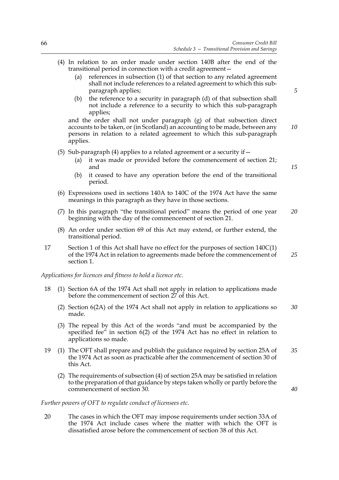- (4) In relation to an order made under section 140B after the end of the transitional period in connection with a credit agreement—
	- (a) references in subsection (1) of that section to any related agreement shall not include references to a related agreement to which this subparagraph applies;
	- (b) the reference to a security in paragraph (d) of that subsection shall not include a reference to a security to which this sub-paragraph applies;

and the order shall not under paragraph (g) of that subsection direct accounts to be taken, or (in Scotland) an accounting to be made, between any persons in relation to a related agreement to which this sub-paragraph applies. *10*

- (5) Sub-paragraph (4) applies to a related agreement or a security if  $-$ 
	- (a) it was made or provided before the commencement of section 21; and
- *15*

*5*

- (b) it ceased to have any operation before the end of the transitional period.
- (6) Expressions used in sections 140A to 140C of the 1974 Act have the same meanings in this paragraph as they have in those sections.
- (7) In this paragraph "the transitional period" means the period of one year beginning with the day of the commencement of section 21. *20*
- (8) An order under section 69 of this Act may extend, or further extend, the transitional period.
- 17 Section 1 of this Act shall have no effect for the purposes of section 140C(1) of the 1974 Act in relation to agreements made before the commencement of section 1. *25*

*Applications for licences and fitness to hold a licence etc.*

- 18 (1) Section 6A of the 1974 Act shall not apply in relation to applications made before the commencement of section 27 of this Act.
	- (2) Section 6(2A) of the 1974 Act shall not apply in relation to applications so made. *30*
	- (3) The repeal by this Act of the words "and must be accompanied by the specified fee" in section 6(2) of the 1974 Act has no effect in relation to applications so made.
- 19 (1) The OFT shall prepare and publish the guidance required by section 25A of the 1974 Act as soon as practicable after the commencement of section 30 of this Act. *35*
	- (2) The requirements of subsection (4) of section 25A may be satisfied in relation to the preparation of that guidance by steps taken wholly or partly before the commencement of section 30.

*Further powers of OFT to regulate conduct of licensees etc.*

20 The cases in which the OFT may impose requirements under section 33A of the 1974 Act include cases where the matter with which the OFT is dissatisfied arose before the commencement of section 38 of this Act.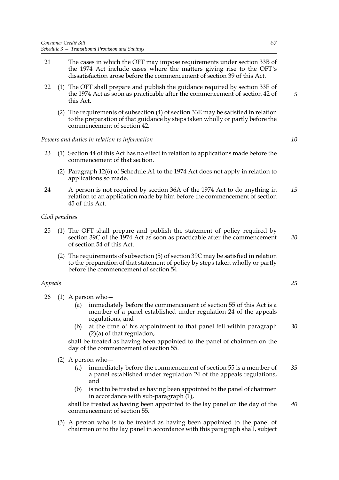- 21 The cases in which the OFT may impose requirements under section 33B of the 1974 Act include cases where the matters giving rise to the OFT's dissatisfaction arose before the commencement of section 39 of this Act.
- 22 (1) The OFT shall prepare and publish the guidance required by section 33E of the 1974 Act as soon as practicable after the commencement of section 42 of this Act.
	- (2) The requirements of subsection (4) of section 33E may be satisfied in relation to the preparation of that guidance by steps taken wholly or partly before the commencement of section 42.

*Powers and duties in relation to information*

- 23 (1) Section 44 of this Act has no effect in relation to applications made before the commencement of that section.
	- (2) Paragraph 12(6) of Schedule A1 to the 1974 Act does not apply in relation to applications so made.
- 24 A person is not required by section 36A of the 1974 Act to do anything in relation to an application made by him before the commencement of section 45 of this Act. *15*

# *Civil penalties*

- 25 (1) The OFT shall prepare and publish the statement of policy required by section 39C of the 1974 Act as soon as practicable after the commencement of section 54 of this Act. *20*
	- (2) The requirements of subsection (5) of section 39C may be satisfied in relation to the preparation of that statement of policy by steps taken wholly or partly before the commencement of section 54.

# *Appeals*

26 (1) A person who—

- (a) immediately before the commencement of section 55 of this Act is a member of a panel established under regulation 24 of the appeals regulations, and
- (b) at the time of his appointment to that panel fell within paragraph  $(2)(a)$  of that regulation, *30*

shall be treated as having been appointed to the panel of chairmen on the day of the commencement of section 55.

- (2) A person who—
	- (a) immediately before the commencement of section 55 is a member of a panel established under regulation 24 of the appeals regulations, and *35*
	- (b) is not to be treated as having been appointed to the panel of chairmen in accordance with sub-paragraph (1),

shall be treated as having been appointed to the lay panel on the day of the commencement of section 55. *40*

(3) A person who is to be treated as having been appointed to the panel of chairmen or to the lay panel in accordance with this paragraph shall, subject *5*

*10*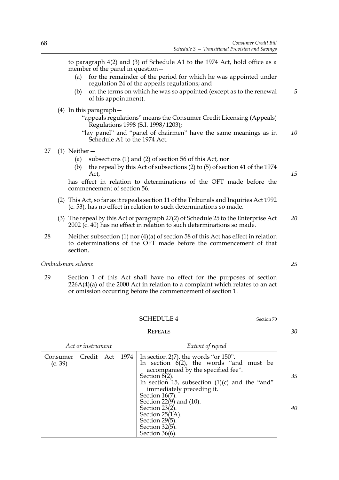to paragraph 4(2) and (3) of Schedule A1 to the 1974 Act, hold office as a member of the panel in question—

- (a) for the remainder of the period for which he was appointed under regulation 24 of the appeals regulations; and
- (b) on the terms on which he was so appointed (except as to the renewal of his appointment). *5*
- (4) In this paragraph—
	- "appeals regulations" means the Consumer Credit Licensing (Appeals) Regulations 1998 (S.I. 1998/1203);
	- "lay panel" and "panel of chairmen" have the same meanings as in Schedule A1 to the 1974 Act. *10*
- 27 (1) Neither—
	- (a) subsections (1) and (2) of section 56 of this Act, nor
	- (b) the repeal by this Act of subsections (2) to (5) of section 41 of the 1974 Act,

has effect in relation to determinations of the OFT made before the commencement of section 56.

- (2) This Act, so far as it repeals section 11 of the Tribunals and Inquiries Act 1992 (c. 53), has no effect in relation to such determinations so made.
- (3) The repeal by this Act of paragraph 27(2) of Schedule 25 to the Enterprise Act 2002 (c. 40) has no effect in relation to such determinations so made. *20*
- 28 Neither subsection (1) nor (4)(a) of section 58 of this Act has effect in relation to determinations of the OFT made before the commencement of that section.

#### *Ombudsman scheme*

29 Section 1 of this Act shall have no effect for the purposes of section  $226A(4)(a)$  of the 2000 Act in relation to a complaint which relates to an act or omission occurring before the commencement of section 1.

## SCHEDULE 4 Section 70

#### **REPEALS**

| Act or instrument   |        |     |      | Extent of repeal                                                                                                               |    |
|---------------------|--------|-----|------|--------------------------------------------------------------------------------------------------------------------------------|----|
| Consumer<br>(c. 39) | Credit | Act | 1974 | In section $2(7)$ , the words "or $150$ ".<br>In section $6(2)$ , the words "and must be<br>accompanied by the specified fee". |    |
|                     |        |     |      | Section $8(2)$ .                                                                                                               | 35 |
|                     |        |     |      | In section 15, subsection $(1)(c)$ and the "and"                                                                               |    |
|                     |        |     |      | immediately preceding it.                                                                                                      |    |
|                     |        |     |      | Section $16(7)$ .                                                                                                              |    |
|                     |        |     |      | Section $22(9)$ and $(10)$ .                                                                                                   |    |
|                     |        |     |      | Section $23(2)$ .                                                                                                              | 40 |
|                     |        |     |      | Section 25(1A).                                                                                                                |    |
|                     |        |     |      | Section 29(5).                                                                                                                 |    |
|                     |        |     |      | Section $32(5)$ .                                                                                                              |    |
|                     |        |     |      | Section $36(6)$ .                                                                                                              |    |

*25*

*30*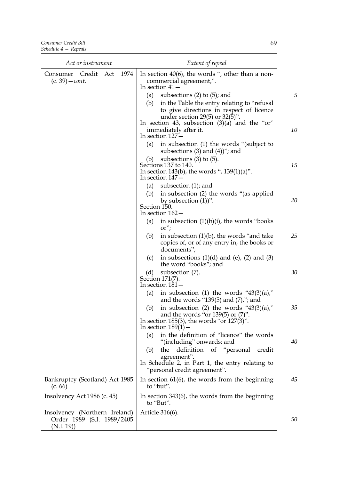*Consumer Credit Bill Schedule 4 — Repeals*

| Act or instrument                                                         | Extent of repeal                                                                                                                                                                                                                                                                 |         |
|---------------------------------------------------------------------------|----------------------------------------------------------------------------------------------------------------------------------------------------------------------------------------------------------------------------------------------------------------------------------|---------|
| Credit<br>1974<br>Consumer<br>Act<br>$(c. 39) - cont.$                    | In section $40(6)$ , the words ", other than a non-<br>commercial agreement,".<br>In section $41-$                                                                                                                                                                               |         |
|                                                                           | subsections $(2)$ to $(5)$ ; and<br>(a)<br>in the Table the entry relating to "refusal<br>(b)<br>to give directions in respect of licence<br>under section 29(5) or $32(5)$ ".<br>In section 43, subsection $(3)(a)$ and the "or"<br>immediately after it.<br>In section $127 -$ | 5<br>10 |
|                                                                           | in subsection (1) the words "(subject to<br>(a)<br>subsections $(3)$ and $(4)$ )"; and                                                                                                                                                                                           |         |
|                                                                           | subsections $(3)$ to $(5)$ .<br>(b)<br>Sections 137 to 140.<br>In section 143(b), the words ", $139(1)(a)$ ".<br>In section $147-$                                                                                                                                               | 15      |
|                                                                           | (a)<br>subsection (1); and<br>in subsection (2) the words "(as applied<br>(b)<br>by subsection $(1)$ ".<br>Section 150.<br>In section 162-                                                                                                                                       | 20      |
|                                                                           | in subsection $(1)(b)(i)$ , the words "books"<br>(a)<br>$or$ ";                                                                                                                                                                                                                  |         |
|                                                                           | in subsection $(1)(b)$ , the words "and take<br>(b)<br>copies of, or of any entry in, the books or<br>documents";                                                                                                                                                                | 25      |
|                                                                           | in subsections $(1)(d)$ and $(e)$ , $(2)$ and $(3)$<br>(c)<br>the word "books"; and                                                                                                                                                                                              |         |
|                                                                           | (d)<br>subsection (7).<br>Section 171(7).<br>In section $181-$                                                                                                                                                                                                                   | 30      |
|                                                                           | (a)<br>in subsection (1) the words " $43(3)(a)$ ,"<br>and the words " $139(5)$ and $(7)$ ,"; and                                                                                                                                                                                 |         |
|                                                                           | in subsection (2) the words " $43(3)(a)$ ,"<br>(b)<br>and the words "or $139(5)$ or $(7)$ ".<br>In section $185(3)$ , the words "or $127(3)$ ".<br>In section $189(1)$ –                                                                                                         | 35      |
|                                                                           | in the definition of "licence" the words<br>(a)<br>"(including" onwards; and<br>definition of "personal credit<br>the<br>(b)                                                                                                                                                     | 40      |
|                                                                           | agreement".<br>In Schedule 2, in Part 1, the entry relating to<br>"personal credit agreement".                                                                                                                                                                                   |         |
| Bankruptcy (Scotland) Act 1985<br>(c. 66)                                 | In section $61(6)$ , the words from the beginning<br>to "but".                                                                                                                                                                                                                   | 45      |
| Insolvency Act 1986 (c. 45)                                               | In section 343(6), the words from the beginning<br>to "But".                                                                                                                                                                                                                     |         |
| Insolvency (Northern Ireland)<br>Order 1989 (S.I. 1989/2405<br>(N.I. 19)) | Article 316(6).                                                                                                                                                                                                                                                                  | 50      |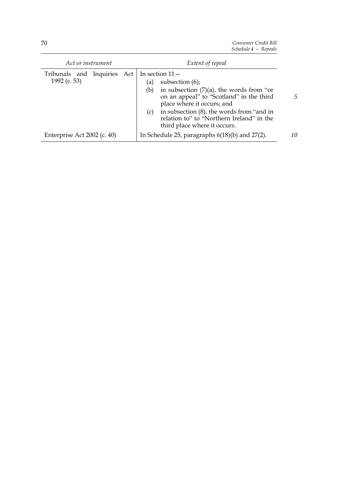| Act or instrument                           | Extent of repeal                                                                                                                 |    |
|---------------------------------------------|----------------------------------------------------------------------------------------------------------------------------------|----|
| Tribunals and Inquiries Act<br>1992 (c. 53) | In section $11-$<br>subsection $(6)$ ;<br>(a)<br>in subsection $(7)(a)$ , the words from "or<br>(b)                              |    |
|                                             | on an appeal" to "Scotland" in the third<br>place where it occurs; and                                                           |    |
|                                             | in subsection $(8)$ , the words from "and in<br>(c)<br>relation to" to "Northern Ireland" in the<br>third place where it occurs. |    |
| Enterprise Act 2002 (c. 40)                 | In Schedule 25, paragraphs 6(18)(b) and 27(2).                                                                                   | 10 |